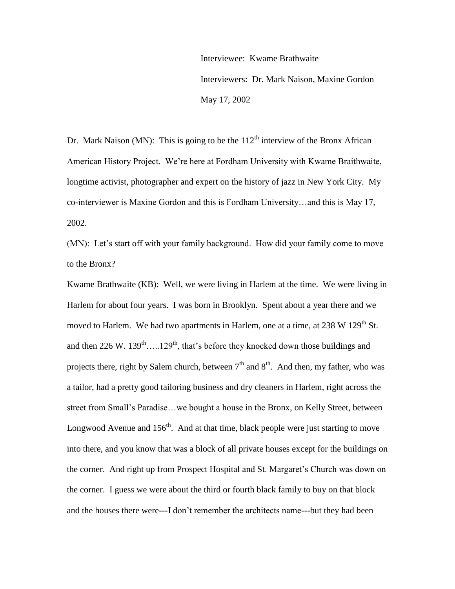Interviewee: Kwame Brathwaite Interviewers: Dr. Mark Naison, Maxine Gordon May 17, 2002

Dr. Mark Naison (MN): This is going to be the  $112<sup>th</sup>$  interview of the Bronx African American History Project. We're here at Fordham University with Kwame Braithwaite, longtime activist, photographer and expert on the history of jazz in New York City. My co-interviewer is Maxine Gordon and this is Fordham University…and this is May 17, 2002.

(MN): Let's start off with your family background. How did your family come to move to the Bronx?

Kwame Brathwaite (KB): Well, we were living in Harlem at the time. We were living in Harlem for about four years. I was born in Brooklyn. Spent about a year there and we moved to Harlem. We had two apartments in Harlem, one at a time, at  $238 \text{ W } 129^{\text{th}}$  St. and then  $226 \text{ W}$ .  $139^{\text{th}}$ ..... $129^{\text{th}}$ , that's before they knocked down those buildings and projects there, right by Salem church, between  $7<sup>th</sup>$  and  $8<sup>th</sup>$ . And then, my father, who was a tailor, had a pretty good tailoring business and dry cleaners in Harlem, right across the street from Small's Paradise…we bought a house in the Bronx, on Kelly Street, between Longwood Avenue and  $156<sup>th</sup>$ . And at that time, black people were just starting to move into there, and you know that was a block of all private houses except for the buildings on the corner. And right up from Prospect Hospital and St. Margaret's Church was down on the corner. I guess we were about the third or fourth black family to buy on that block and the houses there were---I don't remember the architects name---but they had been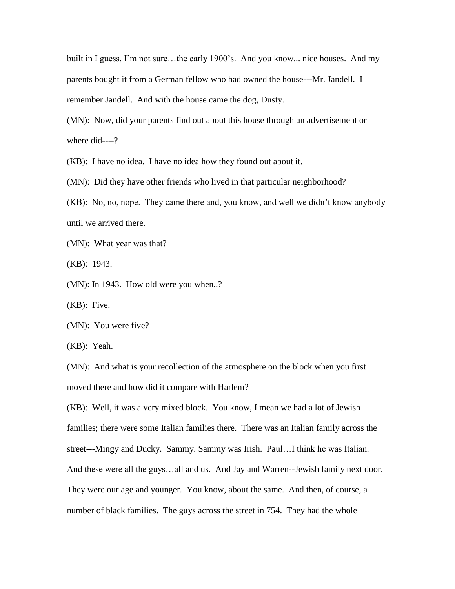built in I guess, I'm not sure…the early 1900's. And you know... nice houses. And my parents bought it from a German fellow who had owned the house---Mr. Jandell. I remember Jandell. And with the house came the dog, Dusty.

(MN): Now, did your parents find out about this house through an advertisement or where did----?

(KB): I have no idea. I have no idea how they found out about it.

(MN): Did they have other friends who lived in that particular neighborhood?

(KB): No, no, nope. They came there and, you know, and well we didn't know anybody until we arrived there.

(MN): What year was that?

(KB): 1943.

(MN): In 1943. How old were you when..?

(KB): Five.

(MN): You were five?

(KB): Yeah.

(MN): And what is your recollection of the atmosphere on the block when you first moved there and how did it compare with Harlem?

(KB): Well, it was a very mixed block. You know, I mean we had a lot of Jewish families; there were some Italian families there. There was an Italian family across the street---Mingy and Ducky. Sammy. Sammy was Irish. Paul…I think he was Italian. And these were all the guys…all and us. And Jay and Warren--Jewish family next door. They were our age and younger. You know, about the same. And then, of course, a number of black families. The guys across the street in 754. They had the whole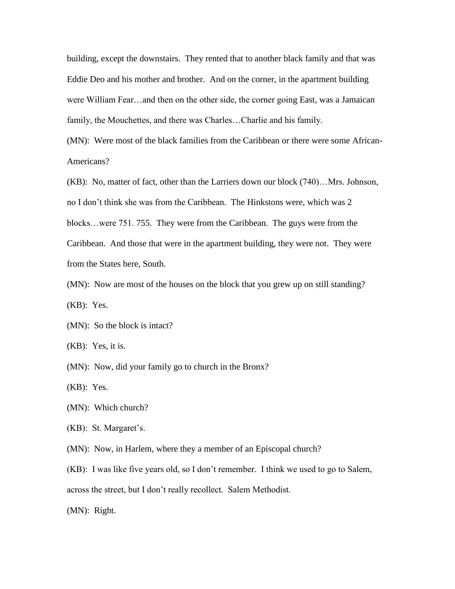building, except the downstairs. They rented that to another black family and that was Eddie Deo and his mother and brother. And on the corner, in the apartment building were William Fear…and then on the other side, the corner going East, was a Jamaican family, the Mouchettes, and there was Charles...Charlie and his family.

(MN): Were most of the black families from the Caribbean or there were some African-Americans?

(KB): No, matter of fact, other than the Larriers down our block (740)…Mrs. Johnson, no I don't think she was from the Caribbean. The Hinkstons were, which was 2 blocks…were 751. 755. They were from the Caribbean. The guys were from the Caribbean. And those that were in the apartment building, they were not. They were from the States here, South.

(MN): Now are most of the houses on the block that you grew up on still standing? (KB): Yes.

(MN): So the block is intact?

(KB): Yes, it is.

(MN): Now, did your family go to church in the Bronx?

(KB): Yes.

(MN): Which church?

(KB): St. Margaret's.

(MN): Now, in Harlem, where they a member of an Episcopal church?

(KB): I was like five years old, so I don't remember. I think we used to go to Salem,

across the street, but I don't really recollect. Salem Methodist.

(MN): Right.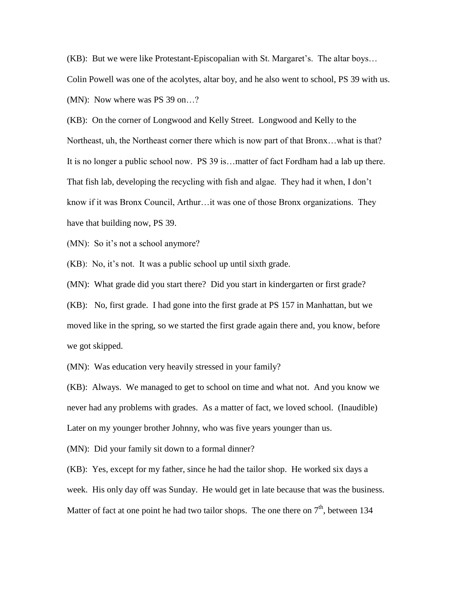(KB): But we were like Protestant-Episcopalian with St. Margaret's. The altar boys… Colin Powell was one of the acolytes, altar boy, and he also went to school, PS 39 with us. (MN): Now where was PS 39 on…?

(KB): On the corner of Longwood and Kelly Street. Longwood and Kelly to the Northeast, uh, the Northeast corner there which is now part of that Bronx…what is that? It is no longer a public school now. PS 39 is…matter of fact Fordham had a lab up there. That fish lab, developing the recycling with fish and algae. They had it when, I don't know if it was Bronx Council, Arthur…it was one of those Bronx organizations. They have that building now, PS 39.

(MN): So it's not a school anymore?

(KB): No, it's not. It was a public school up until sixth grade.

(MN): What grade did you start there? Did you start in kindergarten or first grade?

(KB): No, first grade. I had gone into the first grade at PS 157 in Manhattan, but we moved like in the spring, so we started the first grade again there and, you know, before we got skipped.

(MN): Was education very heavily stressed in your family?

(KB): Always. We managed to get to school on time and what not. And you know we never had any problems with grades. As a matter of fact, we loved school. (Inaudible) Later on my younger brother Johnny, who was five years younger than us.

(MN): Did your family sit down to a formal dinner?

(KB): Yes, except for my father, since he had the tailor shop. He worked six days a week. His only day off was Sunday. He would get in late because that was the business. Matter of fact at one point he had two tailor shops. The one there on  $7<sup>th</sup>$ , between 134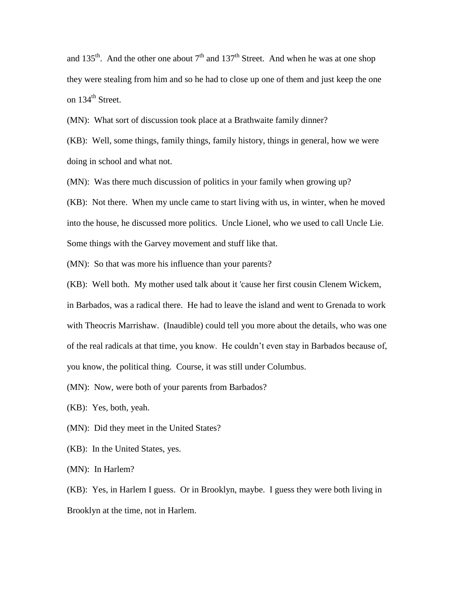and  $135<sup>th</sup>$ . And the other one about  $7<sup>th</sup>$  and  $137<sup>th</sup>$  Street. And when he was at one shop they were stealing from him and so he had to close up one of them and just keep the one on  $134^{\text{th}}$  Street.

(MN): What sort of discussion took place at a Brathwaite family dinner?

(KB): Well, some things, family things, family history, things in general, how we were doing in school and what not.

(MN): Was there much discussion of politics in your family when growing up?

(KB): Not there. When my uncle came to start living with us, in winter, when he moved into the house, he discussed more politics. Uncle Lionel, who we used to call Uncle Lie. Some things with the Garvey movement and stuff like that.

(MN): So that was more his influence than your parents?

(KB): Well both. My mother used talk about it 'cause her first cousin Clenem Wickem, in Barbados, was a radical there. He had to leave the island and went to Grenada to work with Theocris Marrishaw. (Inaudible) could tell you more about the details, who was one of the real radicals at that time, you know. He couldn't even stay in Barbados because of, you know, the political thing. Course, it was still under Columbus.

(MN): Now, were both of your parents from Barbados?

(KB): Yes, both, yeah.

(MN): Did they meet in the United States?

(KB): In the United States, yes.

(MN): In Harlem?

(KB): Yes, in Harlem I guess. Or in Brooklyn, maybe. I guess they were both living in Brooklyn at the time, not in Harlem.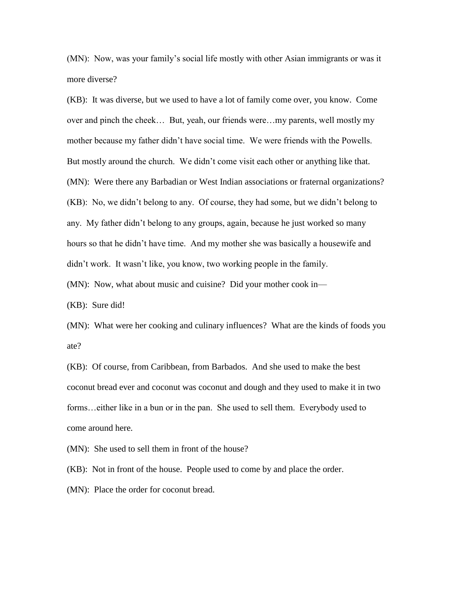(MN): Now, was your family's social life mostly with other Asian immigrants or was it more diverse?

(KB): It was diverse, but we used to have a lot of family come over, you know. Come over and pinch the cheek… But, yeah, our friends were…my parents, well mostly my mother because my father didn't have social time. We were friends with the Powells. But mostly around the church. We didn't come visit each other or anything like that. (MN): Were there any Barbadian or West Indian associations or fraternal organizations? (KB): No, we didn't belong to any. Of course, they had some, but we didn't belong to any. My father didn't belong to any groups, again, because he just worked so many hours so that he didn't have time. And my mother she was basically a housewife and didn't work. It wasn't like, you know, two working people in the family.

(MN): Now, what about music and cuisine? Did your mother cook in—

(KB): Sure did!

(MN): What were her cooking and culinary influences? What are the kinds of foods you ate?

(KB): Of course, from Caribbean, from Barbados. And she used to make the best coconut bread ever and coconut was coconut and dough and they used to make it in two forms…either like in a bun or in the pan. She used to sell them. Everybody used to come around here.

(MN): She used to sell them in front of the house?

(KB): Not in front of the house. People used to come by and place the order.

(MN): Place the order for coconut bread.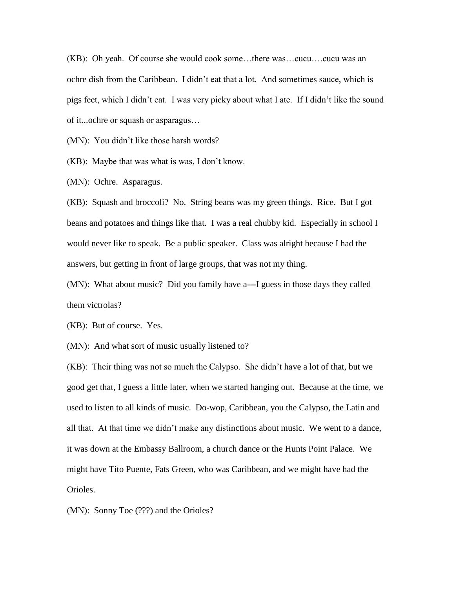(KB): Oh yeah. Of course she would cook some…there was…cucu….cucu was an ochre dish from the Caribbean. I didn't eat that a lot. And sometimes sauce, which is pigs feet, which I didn't eat. I was very picky about what I ate. If I didn't like the sound of it...ochre or squash or asparagus…

(MN): You didn't like those harsh words?

(KB): Maybe that was what is was, I don't know.

(MN): Ochre. Asparagus.

(KB): Squash and broccoli? No. String beans was my green things. Rice. But I got beans and potatoes and things like that. I was a real chubby kid. Especially in school I would never like to speak. Be a public speaker. Class was alright because I had the answers, but getting in front of large groups, that was not my thing.

(MN): What about music? Did you family have a---I guess in those days they called them victrolas?

(KB): But of course. Yes.

(MN): And what sort of music usually listened to?

(KB): Their thing was not so much the Calypso. She didn't have a lot of that, but we good get that, I guess a little later, when we started hanging out. Because at the time, we used to listen to all kinds of music. Do-wop, Caribbean, you the Calypso, the Latin and all that. At that time we didn't make any distinctions about music. We went to a dance, it was down at the Embassy Ballroom, a church dance or the Hunts Point Palace. We might have Tito Puente, Fats Green, who was Caribbean, and we might have had the Orioles.

(MN): Sonny Toe (???) and the Orioles?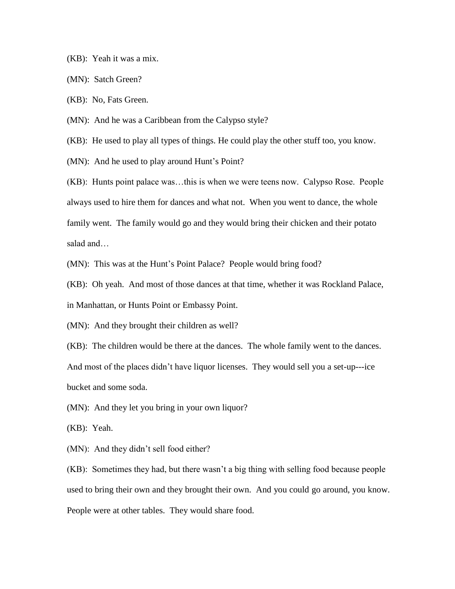(KB): Yeah it was a mix.

(MN): Satch Green?

(KB): No, Fats Green.

(MN): And he was a Caribbean from the Calypso style?

(KB): He used to play all types of things. He could play the other stuff too, you know.

(MN): And he used to play around Hunt's Point?

(KB): Hunts point palace was…this is when we were teens now. Calypso Rose. People always used to hire them for dances and what not. When you went to dance, the whole family went. The family would go and they would bring their chicken and their potato salad and…

(MN): This was at the Hunt's Point Palace? People would bring food?

(KB): Oh yeah. And most of those dances at that time, whether it was Rockland Palace,

in Manhattan, or Hunts Point or Embassy Point.

(MN): And they brought their children as well?

(KB): The children would be there at the dances. The whole family went to the dances. And most of the places didn't have liquor licenses. They would sell you a set-up---ice bucket and some soda.

(MN): And they let you bring in your own liquor?

(KB): Yeah.

(MN): And they didn't sell food either?

(KB): Sometimes they had, but there wasn't a big thing with selling food because people used to bring their own and they brought their own. And you could go around, you know. People were at other tables. They would share food.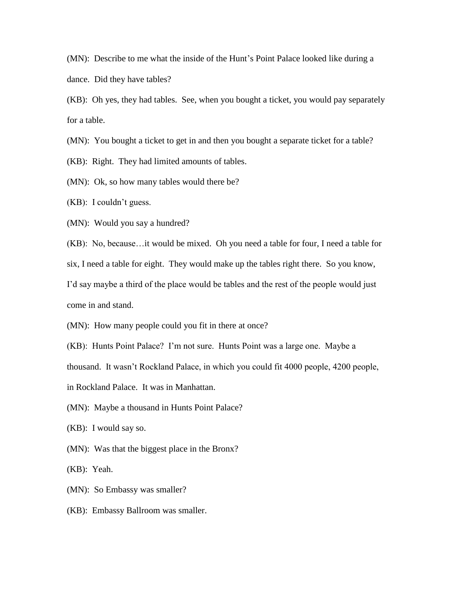(MN): Describe to me what the inside of the Hunt's Point Palace looked like during a dance. Did they have tables?

(KB): Oh yes, they had tables. See, when you bought a ticket, you would pay separately for a table.

(MN): You bought a ticket to get in and then you bought a separate ticket for a table?

(KB): Right. They had limited amounts of tables.

(MN): Ok, so how many tables would there be?

(KB): I couldn't guess.

(MN): Would you say a hundred?

(KB): No, because…it would be mixed. Oh you need a table for four, I need a table for

six, I need a table for eight. They would make up the tables right there. So you know,

I'd say maybe a third of the place would be tables and the rest of the people would just come in and stand.

(MN): How many people could you fit in there at once?

(KB): Hunts Point Palace? I'm not sure. Hunts Point was a large one. Maybe a thousand. It wasn't Rockland Palace, in which you could fit 4000 people, 4200 people, in Rockland Palace. It was in Manhattan.

(MN): Maybe a thousand in Hunts Point Palace?

(KB): I would say so.

(MN): Was that the biggest place in the Bronx?

(KB): Yeah.

(MN): So Embassy was smaller?

(KB): Embassy Ballroom was smaller.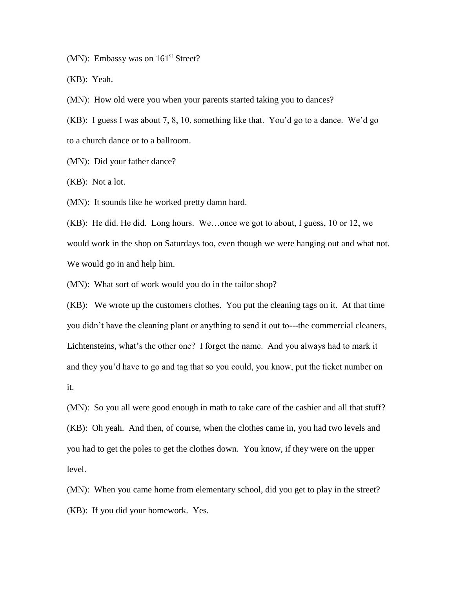(MN): Embassy was on  $161<sup>st</sup>$  Street?

(KB): Yeah.

(MN): How old were you when your parents started taking you to dances?

(KB): I guess I was about 7, 8, 10, something like that. You'd go to a dance. We'd go to a church dance or to a ballroom.

(MN): Did your father dance?

(KB): Not a lot.

(MN): It sounds like he worked pretty damn hard.

(KB): He did. He did. Long hours. We…once we got to about, I guess, 10 or 12, we would work in the shop on Saturdays too, even though we were hanging out and what not. We would go in and help him.

(MN): What sort of work would you do in the tailor shop?

(KB): We wrote up the customers clothes. You put the cleaning tags on it. At that time you didn't have the cleaning plant or anything to send it out to---the commercial cleaners, Lichtensteins, what's the other one? I forget the name. And you always had to mark it and they you'd have to go and tag that so you could, you know, put the ticket number on it.

(MN): So you all were good enough in math to take care of the cashier and all that stuff? (KB): Oh yeah. And then, of course, when the clothes came in, you had two levels and you had to get the poles to get the clothes down. You know, if they were on the upper level.

(MN): When you came home from elementary school, did you get to play in the street? (KB): If you did your homework. Yes.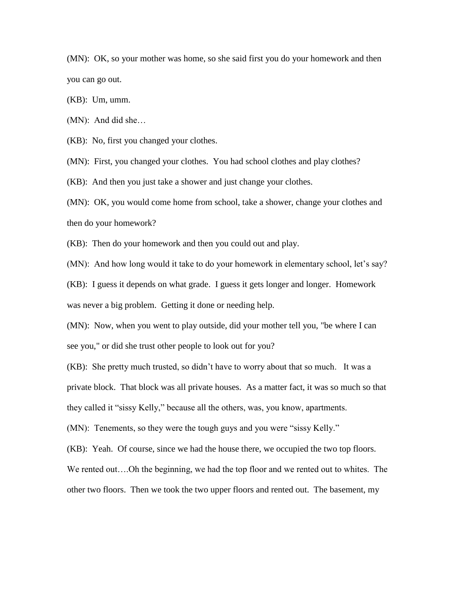(MN): OK, so your mother was home, so she said first you do your homework and then you can go out.

(KB): Um, umm.

(MN): And did she…

(KB): No, first you changed your clothes.

(MN): First, you changed your clothes. You had school clothes and play clothes?

(KB): And then you just take a shower and just change your clothes.

(MN): OK, you would come home from school, take a shower, change your clothes and then do your homework?

(KB): Then do your homework and then you could out and play.

(MN): And how long would it take to do your homework in elementary school, let's say?

(KB): I guess it depends on what grade. I guess it gets longer and longer. Homework was never a big problem. Getting it done or needing help.

(MN): Now, when you went to play outside, did your mother tell you, "be where I can see you," or did she trust other people to look out for you?

(KB): She pretty much trusted, so didn't have to worry about that so much. It was a private block. That block was all private houses. As a matter fact, it was so much so that they called it "sissy Kelly," because all the others, was, you know, apartments.

(MN): Tenements, so they were the tough guys and you were "sissy Kelly."

(KB): Yeah. Of course, since we had the house there, we occupied the two top floors.

We rented out….Oh the beginning, we had the top floor and we rented out to whites. The

other two floors. Then we took the two upper floors and rented out. The basement, my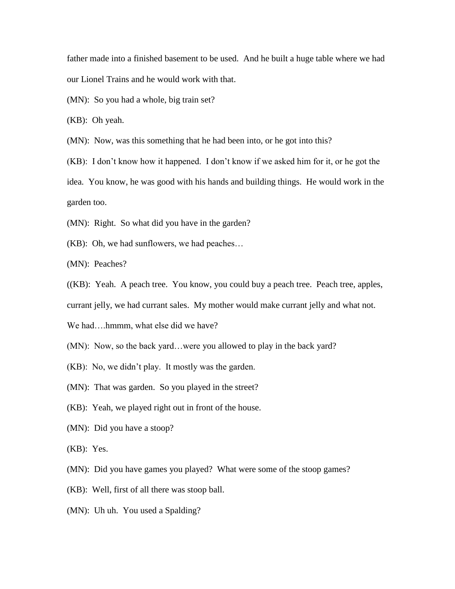father made into a finished basement to be used. And he built a huge table where we had our Lionel Trains and he would work with that.

(MN): So you had a whole, big train set?

(KB): Oh yeah.

(MN): Now, was this something that he had been into, or he got into this?

(KB): I don't know how it happened. I don't know if we asked him for it, or he got the idea. You know, he was good with his hands and building things. He would work in the garden too.

(MN): Right. So what did you have in the garden?

(KB): Oh, we had sunflowers, we had peaches…

(MN): Peaches?

((KB): Yeah. A peach tree. You know, you could buy a peach tree. Peach tree, apples,

currant jelly, we had currant sales. My mother would make currant jelly and what not.

We had....hmmm, what else did we have?

(MN): Now, so the back yard…were you allowed to play in the back yard?

(KB): No, we didn't play. It mostly was the garden.

(MN): That was garden. So you played in the street?

(KB): Yeah, we played right out in front of the house.

(MN): Did you have a stoop?

(KB): Yes.

(MN): Did you have games you played? What were some of the stoop games?

(KB): Well, first of all there was stoop ball.

(MN): Uh uh. You used a Spalding?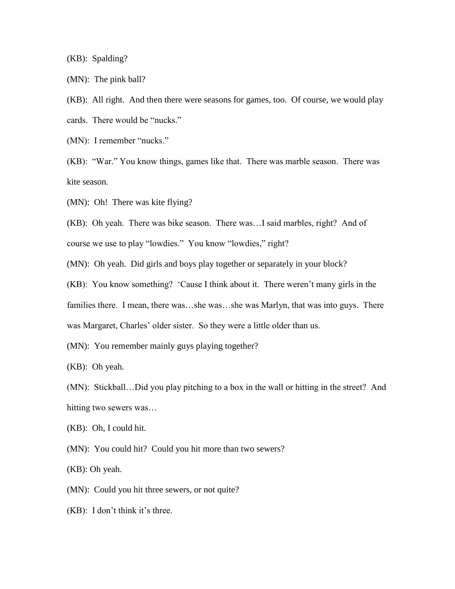(KB): Spalding?

(MN): The pink ball?

(KB): All right. And then there were seasons for games, too. Of course, we would play cards. There would be "nucks."

(MN): I remember "nucks."

(KB): "War." You know things, games like that. There was marble season. There was kite season.

(MN): Oh! There was kite flying?

(KB): Oh yeah. There was bike season. There was…I said marbles, right? And of course we use to play "lowdies." You know "lowdies," right?

(MN): Oh yeah. Did girls and boys play together or separately in your block?

(KB): You know something? 'Cause I think about it. There weren't many girls in the families there. I mean, there was...she was...she was Marlyn, that was into guys. There was Margaret, Charles' older sister. So they were a little older than us.

(MN): You remember mainly guys playing together?

(KB): Oh yeah.

(MN): Stickball…Did you play pitching to a box in the wall or hitting in the street? And hitting two sewers was…

(KB): Oh, I could hit.

(MN): You could hit? Could you hit more than two sewers?

(KB): Oh yeah.

(MN): Could you hit three sewers, or not quite?

(KB): I don't think it's three.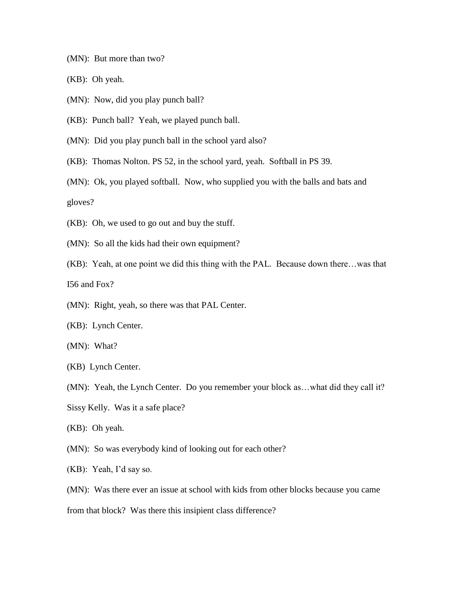(MN): But more than two?

(KB): Oh yeah.

(MN): Now, did you play punch ball?

(KB): Punch ball? Yeah, we played punch ball.

(MN): Did you play punch ball in the school yard also?

(KB): Thomas Nolton. PS 52, in the school yard, yeah. Softball in PS 39.

(MN): Ok, you played softball. Now, who supplied you with the balls and bats and gloves?

(KB): Oh, we used to go out and buy the stuff.

(MN): So all the kids had their own equipment?

(KB): Yeah, at one point we did this thing with the PAL. Because down there…was that

I56 and Fox?

(MN): Right, yeah, so there was that PAL Center.

(KB): Lynch Center.

(MN): What?

(KB) Lynch Center.

(MN): Yeah, the Lynch Center. Do you remember your block as…what did they call it?

Sissy Kelly. Was it a safe place?

(KB): Oh yeah.

(MN): So was everybody kind of looking out for each other?

(KB): Yeah, I'd say so.

(MN): Was there ever an issue at school with kids from other blocks because you came

from that block? Was there this insipient class difference?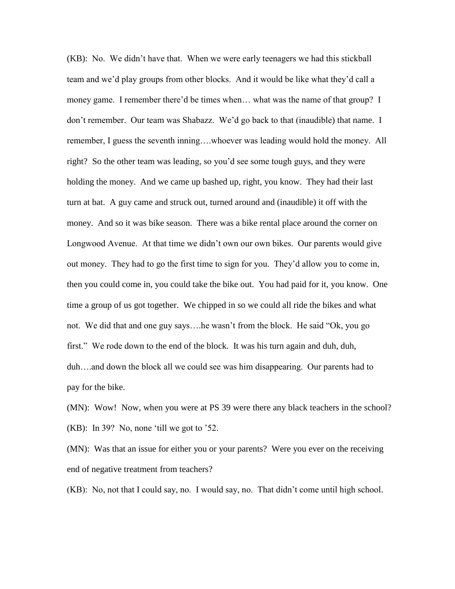(KB): No. We didn't have that. When we were early teenagers we had this stickball team and we'd play groups from other blocks. And it would be like what they'd call a money game. I remember there'd be times when… what was the name of that group? I don't remember. Our team was Shabazz. We'd go back to that (inaudible) that name. I remember, I guess the seventh inning….whoever was leading would hold the money. All right? So the other team was leading, so you'd see some tough guys, and they were holding the money. And we came up bashed up, right, you know. They had their last turn at bat. A guy came and struck out, turned around and (inaudible) it off with the money. And so it was bike season. There was a bike rental place around the corner on Longwood Avenue. At that time we didn't own our own bikes. Our parents would give out money. They had to go the first time to sign for you. They'd allow you to come in, then you could come in, you could take the bike out. You had paid for it, you know. One time a group of us got together. We chipped in so we could all ride the bikes and what not. We did that and one guy says….he wasn't from the block. He said "Ok, you go first." We rode down to the end of the block. It was his turn again and duh, duh, duh….and down the block all we could see was him disappearing. Our parents had to pay for the bike.

(MN): Wow! Now, when you were at PS 39 were there any black teachers in the school? (KB): In 39? No, none 'till we got to '52.

(MN): Was that an issue for either you or your parents? Were you ever on the receiving end of negative treatment from teachers?

(KB): No, not that I could say, no. I would say, no. That didn't come until high school.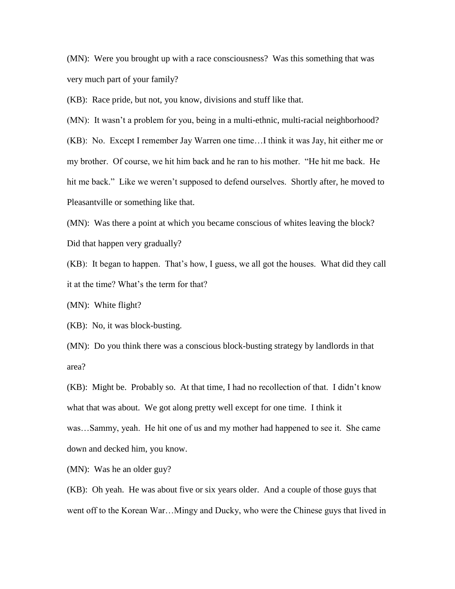(MN): Were you brought up with a race consciousness? Was this something that was very much part of your family?

(KB): Race pride, but not, you know, divisions and stuff like that.

(MN): It wasn't a problem for you, being in a multi-ethnic, multi-racial neighborhood?

(KB): No. Except I remember Jay Warren one time…I think it was Jay, hit either me or my brother. Of course, we hit him back and he ran to his mother. "He hit me back. He hit me back." Like we weren't supposed to defend ourselves. Shortly after, he moved to Pleasantville or something like that.

(MN): Was there a point at which you became conscious of whites leaving the block? Did that happen very gradually?

(KB): It began to happen. That's how, I guess, we all got the houses. What did they call it at the time? What's the term for that?

(MN): White flight?

(KB): No, it was block-busting.

(MN): Do you think there was a conscious block-busting strategy by landlords in that area?

(KB): Might be. Probably so. At that time, I had no recollection of that. I didn't know what that was about. We got along pretty well except for one time. I think it was…Sammy, yeah. He hit one of us and my mother had happened to see it. She came down and decked him, you know.

(MN): Was he an older guy?

(KB): Oh yeah. He was about five or six years older. And a couple of those guys that went off to the Korean War…Mingy and Ducky, who were the Chinese guys that lived in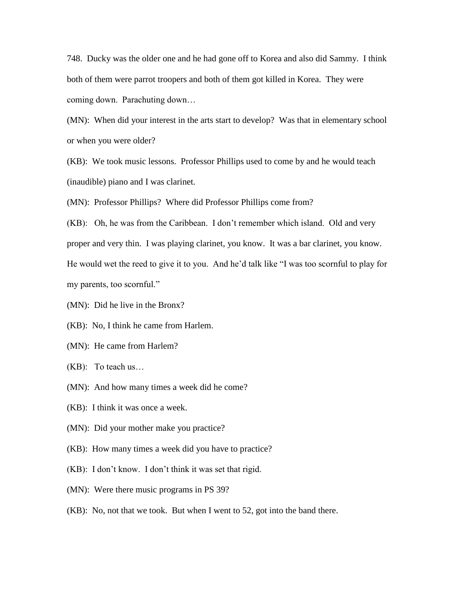748. Ducky was the older one and he had gone off to Korea and also did Sammy. I think both of them were parrot troopers and both of them got killed in Korea. They were coming down. Parachuting down…

(MN): When did your interest in the arts start to develop? Was that in elementary school or when you were older?

(KB): We took music lessons. Professor Phillips used to come by and he would teach (inaudible) piano and I was clarinet.

(MN): Professor Phillips? Where did Professor Phillips come from?

(KB): Oh, he was from the Caribbean. I don't remember which island. Old and very proper and very thin. I was playing clarinet, you know. It was a bar clarinet, you know. He would wet the reed to give it to you. And he'd talk like "I was too scornful to play for my parents, too scornful."

(MN): Did he live in the Bronx?

(KB): No, I think he came from Harlem.

(MN): He came from Harlem?

(KB): To teach us…

(MN): And how many times a week did he come?

(KB): I think it was once a week.

(MN): Did your mother make you practice?

(KB): How many times a week did you have to practice?

(KB): I don't know. I don't think it was set that rigid.

(MN): Were there music programs in PS 39?

(KB): No, not that we took. But when I went to 52, got into the band there.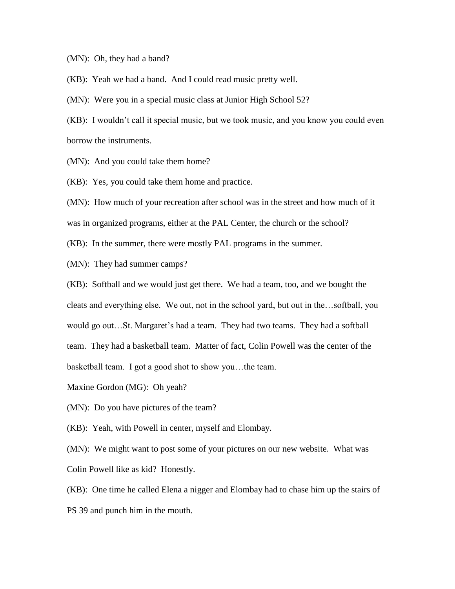(MN): Oh, they had a band?

(KB): Yeah we had a band. And I could read music pretty well.

(MN): Were you in a special music class at Junior High School 52?

(KB): I wouldn't call it special music, but we took music, and you know you could even borrow the instruments.

(MN): And you could take them home?

(KB): Yes, you could take them home and practice.

(MN): How much of your recreation after school was in the street and how much of it was in organized programs, either at the PAL Center, the church or the school?

(KB): In the summer, there were mostly PAL programs in the summer.

(MN): They had summer camps?

(KB): Softball and we would just get there. We had a team, too, and we bought the cleats and everything else. We out, not in the school yard, but out in the…softball, you would go out…St. Margaret's had a team. They had two teams. They had a softball team. They had a basketball team. Matter of fact, Colin Powell was the center of the basketball team. I got a good shot to show you…the team.

Maxine Gordon (MG): Oh yeah?

(MN): Do you have pictures of the team?

(KB): Yeah, with Powell in center, myself and Elombay.

(MN): We might want to post some of your pictures on our new website. What was Colin Powell like as kid? Honestly.

(KB): One time he called Elena a nigger and Elombay had to chase him up the stairs of PS 39 and punch him in the mouth.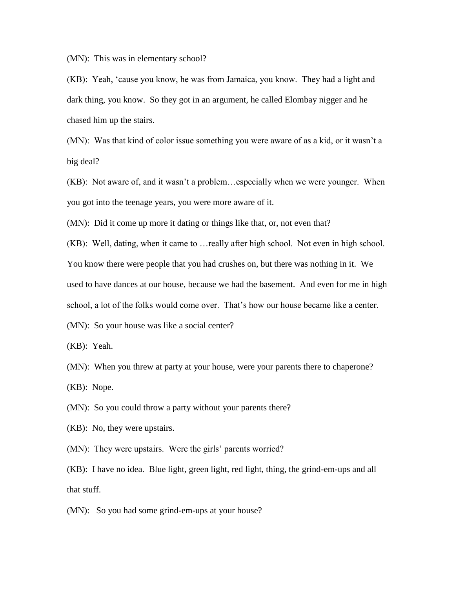(MN): This was in elementary school?

(KB): Yeah, 'cause you know, he was from Jamaica, you know. They had a light and dark thing, you know. So they got in an argument, he called Elombay nigger and he chased him up the stairs.

(MN): Was that kind of color issue something you were aware of as a kid, or it wasn't a big deal?

(KB): Not aware of, and it wasn't a problem…especially when we were younger. When you got into the teenage years, you were more aware of it.

(MN): Did it come up more it dating or things like that, or, not even that?

(KB): Well, dating, when it came to …really after high school. Not even in high school. You know there were people that you had crushes on, but there was nothing in it. We used to have dances at our house, because we had the basement. And even for me in high school, a lot of the folks would come over. That's how our house became like a center. (MN): So your house was like a social center?

(KB): Yeah.

(MN): When you threw at party at your house, were your parents there to chaperone? (KB): Nope.

(MN): So you could throw a party without your parents there?

(KB): No, they were upstairs.

(MN): They were upstairs. Were the girls' parents worried?

(KB): I have no idea. Blue light, green light, red light, thing, the grind-em-ups and all that stuff.

(MN): So you had some grind-em-ups at your house?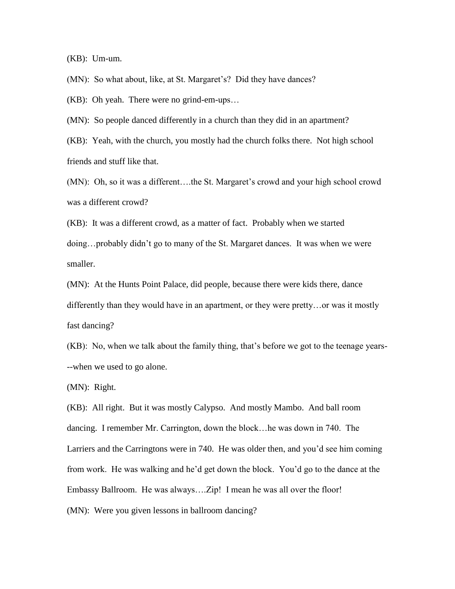(KB): Um-um.

(MN): So what about, like, at St. Margaret's? Did they have dances?

(KB): Oh yeah. There were no grind-em-ups…

(MN): So people danced differently in a church than they did in an apartment?

(KB): Yeah, with the church, you mostly had the church folks there. Not high school friends and stuff like that.

(MN): Oh, so it was a different….the St. Margaret's crowd and your high school crowd was a different crowd?

(KB): It was a different crowd, as a matter of fact. Probably when we started doing…probably didn't go to many of the St. Margaret dances. It was when we were smaller.

(MN): At the Hunts Point Palace, did people, because there were kids there, dance differently than they would have in an apartment, or they were pretty…or was it mostly fast dancing?

(KB): No, when we talk about the family thing, that's before we got to the teenage years- --when we used to go alone.

(MN): Right.

(KB): All right. But it was mostly Calypso. And mostly Mambo. And ball room dancing. I remember Mr. Carrington, down the block…he was down in 740. The Larriers and the Carringtons were in 740. He was older then, and you'd see him coming from work. He was walking and he'd get down the block. You'd go to the dance at the Embassy Ballroom. He was always….Zip! I mean he was all over the floor! (MN): Were you given lessons in ballroom dancing?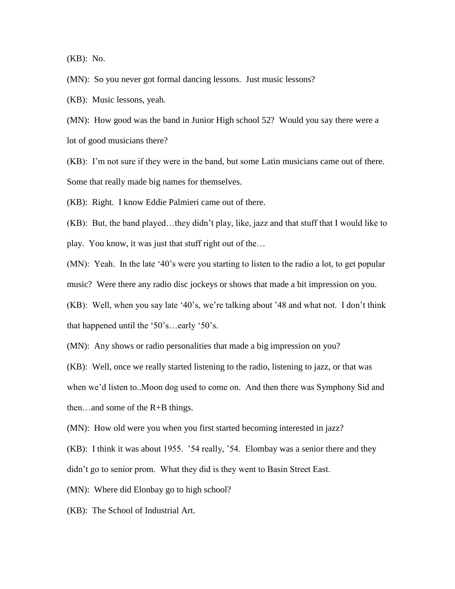(KB): No.

(MN): So you never got formal dancing lessons. Just music lessons?

(KB): Music lessons, yeah.

(MN): How good was the band in Junior High school 52? Would you say there were a lot of good musicians there?

(KB): I'm not sure if they were in the band, but some Latin musicians came out of there. Some that really made big names for themselves.

(KB): Right. I know Eddie Palmieri came out of there.

(KB): But, the band played…they didn't play, like, jazz and that stuff that I would like to play. You know, it was just that stuff right out of the…

(MN): Yeah. In the late '40's were you starting to listen to the radio a lot, to get popular music? Were there any radio disc jockeys or shows that made a bit impression on you.

(KB): Well, when you say late '40's, we're talking about '48 and what not. I don't think that happened until the '50's…early '50's.

(MN): Any shows or radio personalities that made a big impression on you?

(KB): Well, once we really started listening to the radio, listening to jazz, or that was

when we'd listen to..Moon dog used to come on. And then there was Symphony Sid and

then…and some of the R+B things.

(MN): How old were you when you first started becoming interested in jazz?

(KB): I think it was about 1955. '54 really, '54. Elombay was a senior there and they didn't go to senior prom. What they did is they went to Basin Street East.

(MN): Where did Elonbay go to high school?

(KB): The School of Industrial Art.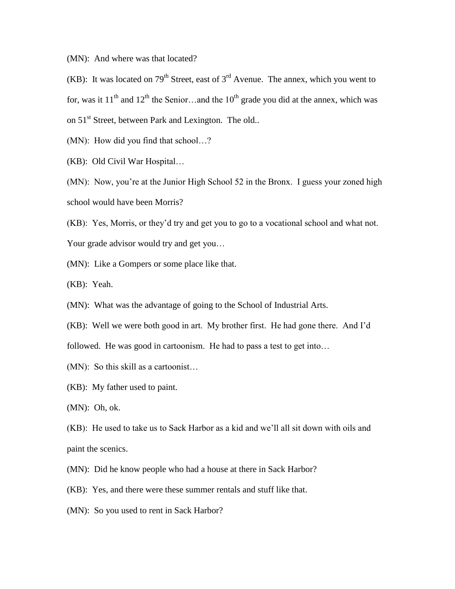(MN): And where was that located?

(KB): It was located on  $79<sup>th</sup>$  Street, east of  $3<sup>rd</sup>$  Avenue. The annex, which you went to for, was it  $11<sup>th</sup>$  and  $12<sup>th</sup>$  the Senior…and the  $10<sup>th</sup>$  grade you did at the annex, which was on 51<sup>st</sup> Street, between Park and Lexington. The old..

(MN): How did you find that school…?

(KB): Old Civil War Hospital…

(MN): Now, you're at the Junior High School 52 in the Bronx. I guess your zoned high school would have been Morris?

(KB): Yes, Morris, or they'd try and get you to go to a vocational school and what not. Your grade advisor would try and get you...

(MN): Like a Gompers or some place like that.

(KB): Yeah.

(MN): What was the advantage of going to the School of Industrial Arts.

(KB): Well we were both good in art. My brother first. He had gone there. And I'd

followed. He was good in cartoonism. He had to pass a test to get into…

(MN): So this skill as a cartoonist…

(KB): My father used to paint.

(MN): Oh, ok.

(KB): He used to take us to Sack Harbor as a kid and we'll all sit down with oils and paint the scenics.

(MN): Did he know people who had a house at there in Sack Harbor?

(KB): Yes, and there were these summer rentals and stuff like that.

(MN): So you used to rent in Sack Harbor?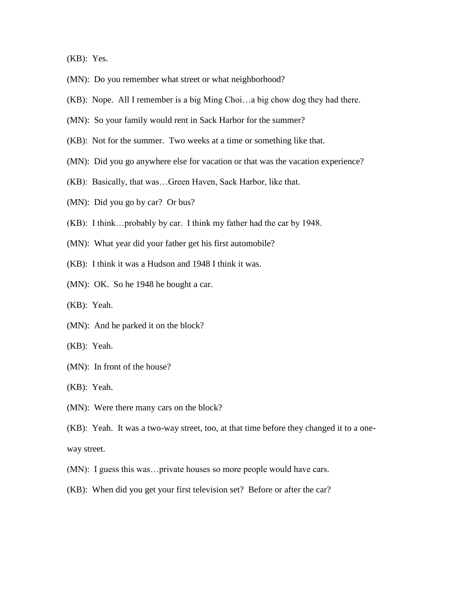(KB): Yes.

- (MN): Do you remember what street or what neighborhood?
- (KB): Nope. All I remember is a big Ming Choi…a big chow dog they had there.
- (MN): So your family would rent in Sack Harbor for the summer?
- (KB): Not for the summer. Two weeks at a time or something like that.
- (MN): Did you go anywhere else for vacation or that was the vacation experience?
- (KB): Basically, that was…Green Haven, Sack Harbor, like that.
- (MN): Did you go by car? Or bus?
- (KB): I think…probably by car. I think my father had the car by 1948.
- (MN): What year did your father get his first automobile?
- (KB): I think it was a Hudson and 1948 I think it was.
- (MN): OK. So he 1948 he bought a car.
- (KB): Yeah.
- (MN): And he parked it on the block?
- (KB): Yeah.
- (MN): In front of the house?
- (KB): Yeah.
- (MN): Were there many cars on the block?
- (KB): Yeah. It was a two-way street, too, at that time before they changed it to a oneway street.
- (MN): I guess this was…private houses so more people would have cars.
- (KB): When did you get your first television set? Before or after the car?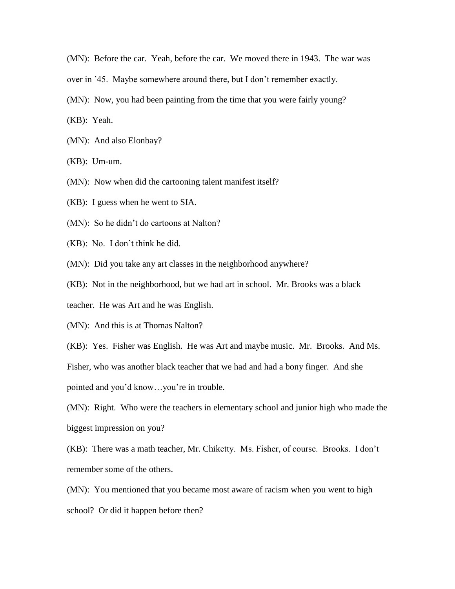(MN): Before the car. Yeah, before the car. We moved there in 1943. The war was

over in '45. Maybe somewhere around there, but I don't remember exactly.

(MN): Now, you had been painting from the time that you were fairly young?

(KB): Yeah.

(MN): And also Elonbay?

(KB): Um-um.

(MN): Now when did the cartooning talent manifest itself?

(KB): I guess when he went to SIA.

(MN): So he didn't do cartoons at Nalton?

(KB): No. I don't think he did.

(MN): Did you take any art classes in the neighborhood anywhere?

(KB): Not in the neighborhood, but we had art in school. Mr. Brooks was a black

teacher. He was Art and he was English.

(MN): And this is at Thomas Nalton?

(KB): Yes. Fisher was English. He was Art and maybe music. Mr. Brooks. And Ms. Fisher, who was another black teacher that we had and had a bony finger. And she pointed and you'd know…you're in trouble.

(MN): Right. Who were the teachers in elementary school and junior high who made the biggest impression on you?

(KB): There was a math teacher, Mr. Chiketty. Ms. Fisher, of course. Brooks. I don't remember some of the others.

(MN): You mentioned that you became most aware of racism when you went to high school? Or did it happen before then?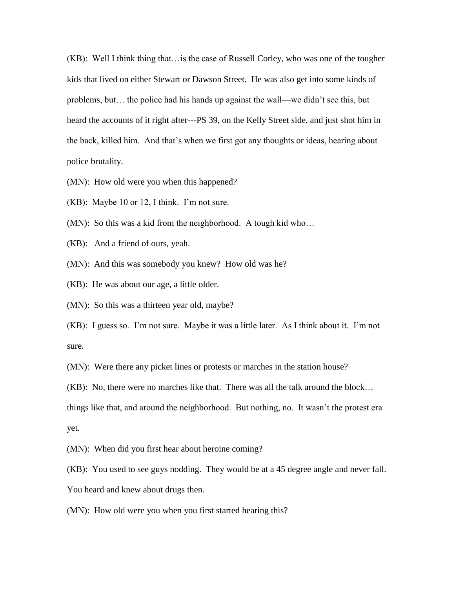(KB): Well I think thing that…is the case of Russell Corley, who was one of the tougher kids that lived on either Stewart or Dawson Street. He was also get into some kinds of problems, but… the police had his hands up against the wall—we didn't see this, but heard the accounts of it right after---PS 39, on the Kelly Street side, and just shot him in the back, killed him. And that's when we first got any thoughts or ideas, hearing about police brutality.

(MN): How old were you when this happened?

(KB): Maybe 10 or 12, I think. I'm not sure.

(MN): So this was a kid from the neighborhood. A tough kid who…

(KB): And a friend of ours, yeah.

(MN): And this was somebody you knew? How old was he?

(KB): He was about our age, a little older.

(MN): So this was a thirteen year old, maybe?

(KB): I guess so. I'm not sure. Maybe it was a little later. As I think about it. I'm not sure.

(MN): Were there any picket lines or protests or marches in the station house?

(KB): No, there were no marches like that. There was all the talk around the block…

things like that, and around the neighborhood. But nothing, no. It wasn't the protest era

yet.

(MN): When did you first hear about heroine coming?

(KB): You used to see guys nodding. They would be at a 45 degree angle and never fall.

You heard and knew about drugs then.

(MN): How old were you when you first started hearing this?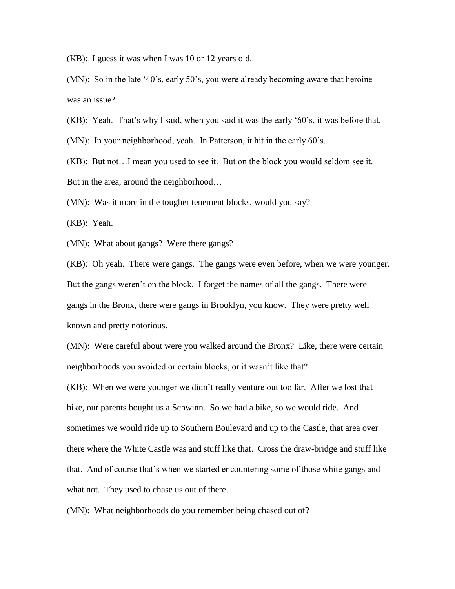(KB): I guess it was when I was 10 or 12 years old.

(MN): So in the late '40's, early 50's, you were already becoming aware that heroine was an issue?

(KB): Yeah. That's why I said, when you said it was the early '60's, it was before that. (MN): In your neighborhood, yeah. In Patterson, it hit in the early 60's.

(KB): But not…I mean you used to see it. But on the block you would seldom see it. But in the area, around the neighborhood…

(MN): Was it more in the tougher tenement blocks, would you say?

(KB): Yeah.

(MN): What about gangs? Were there gangs?

(KB): Oh yeah. There were gangs. The gangs were even before, when we were younger. But the gangs weren't on the block. I forget the names of all the gangs. There were gangs in the Bronx, there were gangs in Brooklyn, you know. They were pretty well known and pretty notorious.

(MN): Were careful about were you walked around the Bronx? Like, there were certain neighborhoods you avoided or certain blocks, or it wasn't like that?

(KB): When we were younger we didn't really venture out too far. After we lost that bike, our parents bought us a Schwinn. So we had a bike, so we would ride. And sometimes we would ride up to Southern Boulevard and up to the Castle, that area over there where the White Castle was and stuff like that. Cross the draw-bridge and stuff like that. And of course that's when we started encountering some of those white gangs and what not. They used to chase us out of there.

(MN): What neighborhoods do you remember being chased out of?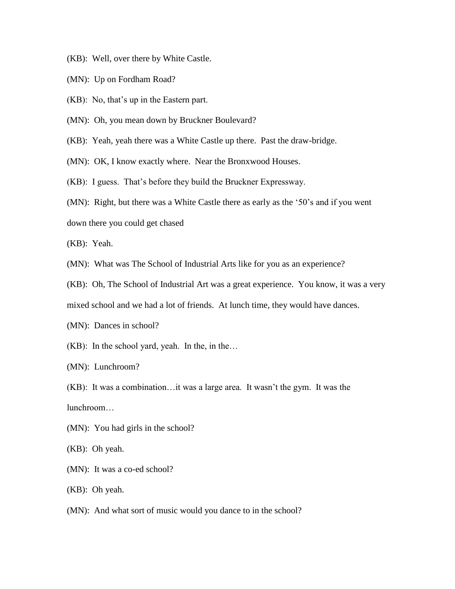(KB): Well, over there by White Castle.

(MN): Up on Fordham Road?

(KB): No, that's up in the Eastern part.

(MN): Oh, you mean down by Bruckner Boulevard?

(KB): Yeah, yeah there was a White Castle up there. Past the draw-bridge.

(MN): OK, I know exactly where. Near the Bronxwood Houses.

(KB): I guess. That's before they build the Bruckner Expressway.

(MN): Right, but there was a White Castle there as early as the '50's and if you went

down there you could get chased

(KB): Yeah.

(MN): What was The School of Industrial Arts like for you as an experience?

(KB): Oh, The School of Industrial Art was a great experience. You know, it was a very

mixed school and we had a lot of friends. At lunch time, they would have dances.

(MN): Dances in school?

(KB): In the school yard, yeah. In the, in the…

(MN): Lunchroom?

(KB): It was a combination…it was a large area. It wasn't the gym. It was the lunchroom…

(MN): You had girls in the school?

(KB): Oh yeah.

(MN): It was a co-ed school?

(KB): Oh yeah.

(MN): And what sort of music would you dance to in the school?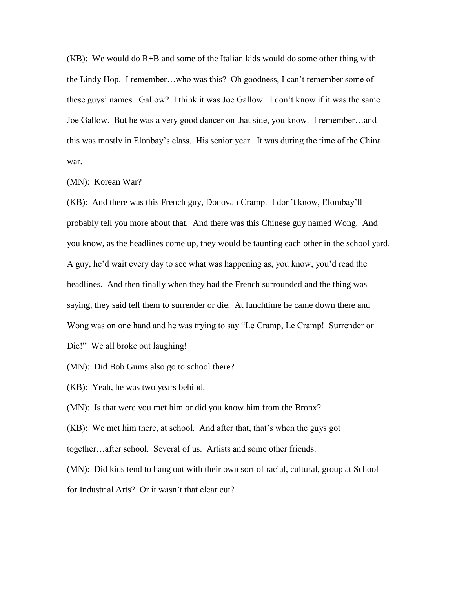$(KB)$ : We would do  $R+B$  and some of the Italian kids would do some other thing with the Lindy Hop. I remember…who was this? Oh goodness, I can't remember some of these guys' names. Gallow? I think it was Joe Gallow. I don't know if it was the same Joe Gallow. But he was a very good dancer on that side, you know. I remember…and this was mostly in Elonbay's class. His senior year. It was during the time of the China war.

(MN): Korean War?

(KB): And there was this French guy, Donovan Cramp. I don't know, Elombay'll probably tell you more about that. And there was this Chinese guy named Wong. And you know, as the headlines come up, they would be taunting each other in the school yard. A guy, he'd wait every day to see what was happening as, you know, you'd read the headlines. And then finally when they had the French surrounded and the thing was saying, they said tell them to surrender or die. At lunchtime he came down there and Wong was on one hand and he was trying to say "Le Cramp, Le Cramp! Surrender or Die!" We all broke out laughing!

(MN): Did Bob Gums also go to school there?

(KB): Yeah, he was two years behind.

(MN): Is that were you met him or did you know him from the Bronx?

(KB): We met him there, at school. And after that, that's when the guys got together…after school. Several of us. Artists and some other friends.

(MN): Did kids tend to hang out with their own sort of racial, cultural, group at School for Industrial Arts? Or it wasn't that clear cut?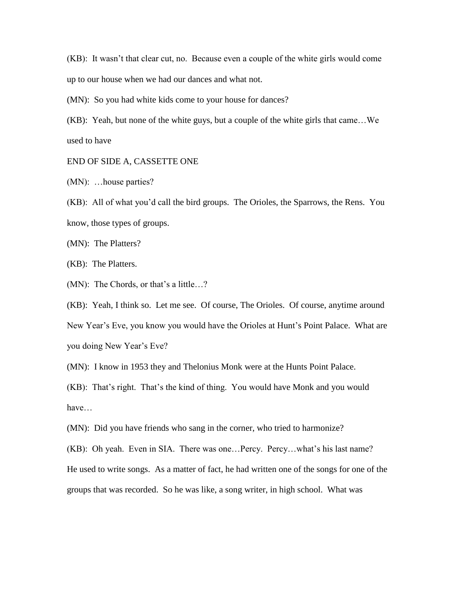(KB): It wasn't that clear cut, no. Because even a couple of the white girls would come up to our house when we had our dances and what not.

(MN): So you had white kids come to your house for dances?

(KB): Yeah, but none of the white guys, but a couple of the white girls that came…We used to have

END OF SIDE A, CASSETTE ONE

(MN): …house parties?

(KB): All of what you'd call the bird groups. The Orioles, the Sparrows, the Rens. You know, those types of groups.

(MN): The Platters?

(KB): The Platters.

(MN): The Chords, or that's a little…?

(KB): Yeah, I think so. Let me see. Of course, The Orioles. Of course, anytime around New Year's Eve, you know you would have the Orioles at Hunt's Point Palace. What are you doing New Year's Eve?

(MN): I know in 1953 they and Thelonius Monk were at the Hunts Point Palace.

(KB): That's right. That's the kind of thing. You would have Monk and you would have…

(MN): Did you have friends who sang in the corner, who tried to harmonize?

(KB): Oh yeah. Even in SIA. There was one…Percy. Percy…what's his last name? He used to write songs. As a matter of fact, he had written one of the songs for one of the groups that was recorded. So he was like, a song writer, in high school. What was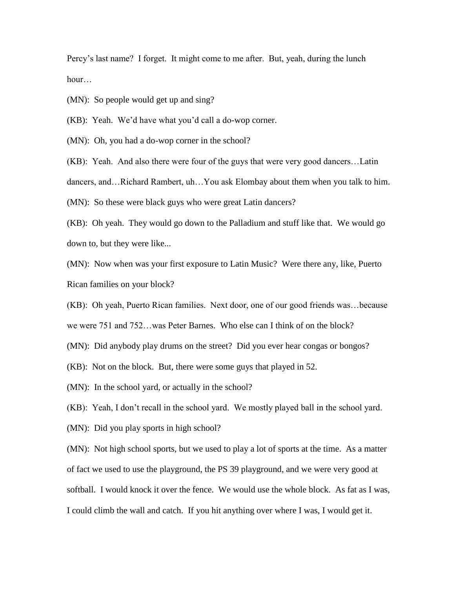Percy's last name? I forget. It might come to me after. But, yeah, during the lunch hour…

(MN): So people would get up and sing?

(KB): Yeah. We'd have what you'd call a do-wop corner.

(MN): Oh, you had a do-wop corner in the school?

(KB): Yeah. And also there were four of the guys that were very good dancers…Latin dancers, and…Richard Rambert, uh…You ask Elombay about them when you talk to him. (MN): So these were black guys who were great Latin dancers?

(KB): Oh yeah. They would go down to the Palladium and stuff like that. We would go down to, but they were like...

(MN): Now when was your first exposure to Latin Music? Were there any, like, Puerto Rican families on your block?

(KB): Oh yeah, Puerto Rican families. Next door, one of our good friends was…because we were 751 and 752…was Peter Barnes. Who else can I think of on the block?

(MN): Did anybody play drums on the street? Did you ever hear congas or bongos?

(KB): Not on the block. But, there were some guys that played in 52.

(MN): In the school yard, or actually in the school?

(KB): Yeah, I don't recall in the school yard. We mostly played ball in the school yard.

(MN): Did you play sports in high school?

(MN): Not high school sports, but we used to play a lot of sports at the time. As a matter of fact we used to use the playground, the PS 39 playground, and we were very good at softball. I would knock it over the fence. We would use the whole block. As fat as I was, I could climb the wall and catch. If you hit anything over where I was, I would get it.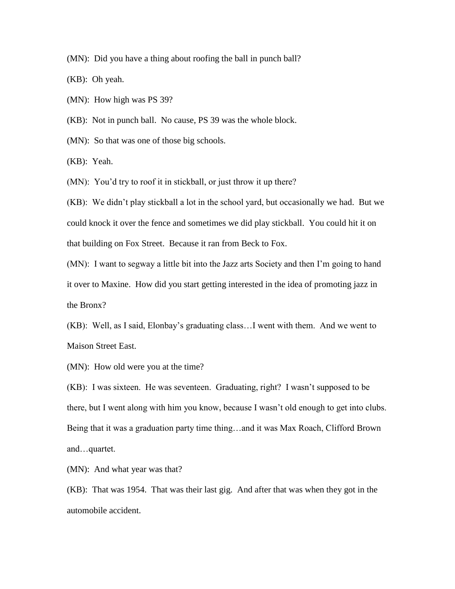(MN): Did you have a thing about roofing the ball in punch ball?

(KB): Oh yeah.

(MN): How high was PS 39?

(KB): Not in punch ball. No cause, PS 39 was the whole block.

(MN): So that was one of those big schools.

(KB): Yeah.

(MN): You'd try to roof it in stickball, or just throw it up there?

(KB): We didn't play stickball a lot in the school yard, but occasionally we had. But we could knock it over the fence and sometimes we did play stickball. You could hit it on that building on Fox Street. Because it ran from Beck to Fox.

(MN): I want to segway a little bit into the Jazz arts Society and then I'm going to hand it over to Maxine. How did you start getting interested in the idea of promoting jazz in the Bronx?

(KB): Well, as I said, Elonbay's graduating class…I went with them. And we went to Maison Street East.

(MN): How old were you at the time?

(KB): I was sixteen. He was seventeen. Graduating, right? I wasn't supposed to be there, but I went along with him you know, because I wasn't old enough to get into clubs. Being that it was a graduation party time thing…and it was Max Roach, Clifford Brown and…quartet.

(MN): And what year was that?

(KB): That was 1954. That was their last gig. And after that was when they got in the automobile accident.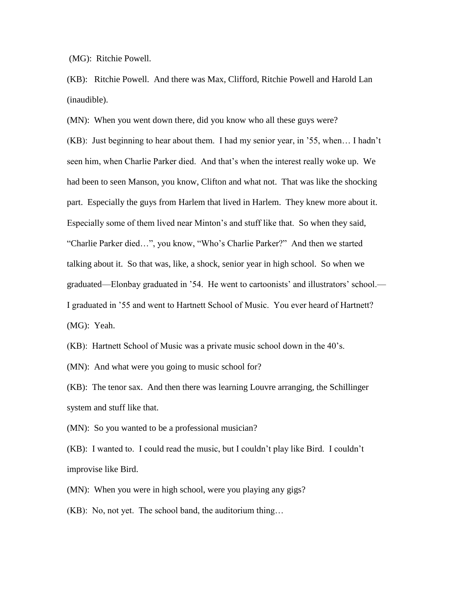(MG): Ritchie Powell.

(KB): Ritchie Powell. And there was Max, Clifford, Ritchie Powell and Harold Lan (inaudible).

(MN): When you went down there, did you know who all these guys were?

(KB): Just beginning to hear about them. I had my senior year, in '55, when… I hadn't seen him, when Charlie Parker died. And that's when the interest really woke up. We had been to seen Manson, you know, Clifton and what not. That was like the shocking part. Especially the guys from Harlem that lived in Harlem. They knew more about it. Especially some of them lived near Minton's and stuff like that. So when they said, "Charlie Parker died…", you know, "Who's Charlie Parker?" And then we started talking about it. So that was, like, a shock, senior year in high school. So when we graduated—Elonbay graduated in '54. He went to cartoonists' and illustrators' school.— I graduated in '55 and went to Hartnett School of Music. You ever heard of Hartnett? (MG): Yeah.

(KB): Hartnett School of Music was a private music school down in the 40's.

(MN): And what were you going to music school for?

(KB): The tenor sax. And then there was learning Louvre arranging, the Schillinger system and stuff like that.

(MN): So you wanted to be a professional musician?

(KB): I wanted to. I could read the music, but I couldn't play like Bird. I couldn't improvise like Bird.

(MN): When you were in high school, were you playing any gigs?

(KB): No, not yet. The school band, the auditorium thing…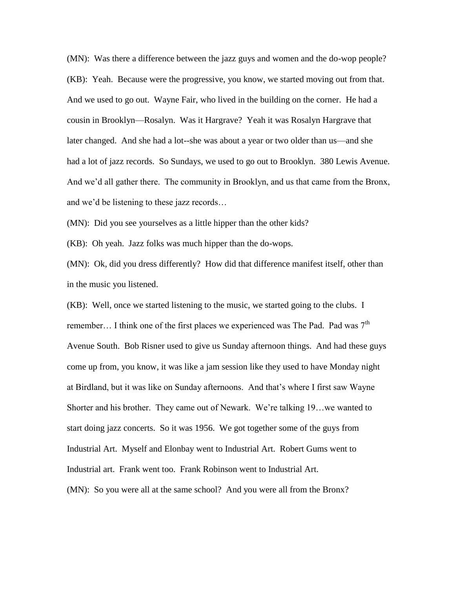(MN): Was there a difference between the jazz guys and women and the do-wop people? (KB): Yeah. Because were the progressive, you know, we started moving out from that. And we used to go out. Wayne Fair, who lived in the building on the corner. He had a cousin in Brooklyn—Rosalyn. Was it Hargrave? Yeah it was Rosalyn Hargrave that later changed. And she had a lot--she was about a year or two older than us—and she had a lot of jazz records. So Sundays, we used to go out to Brooklyn. 380 Lewis Avenue. And we'd all gather there. The community in Brooklyn, and us that came from the Bronx, and we'd be listening to these jazz records…

(MN): Did you see yourselves as a little hipper than the other kids?

(KB): Oh yeah. Jazz folks was much hipper than the do-wops.

(MN): Ok, did you dress differently? How did that difference manifest itself, other than in the music you listened.

(KB): Well, once we started listening to the music, we started going to the clubs. I remember... I think one of the first places we experienced was The Pad. Pad was  $7<sup>th</sup>$ Avenue South. Bob Risner used to give us Sunday afternoon things. And had these guys come up from, you know, it was like a jam session like they used to have Monday night at Birdland, but it was like on Sunday afternoons. And that's where I first saw Wayne Shorter and his brother. They came out of Newark. We're talking 19…we wanted to start doing jazz concerts. So it was 1956. We got together some of the guys from Industrial Art. Myself and Elonbay went to Industrial Art. Robert Gums went to Industrial art. Frank went too. Frank Robinson went to Industrial Art. (MN): So you were all at the same school? And you were all from the Bronx?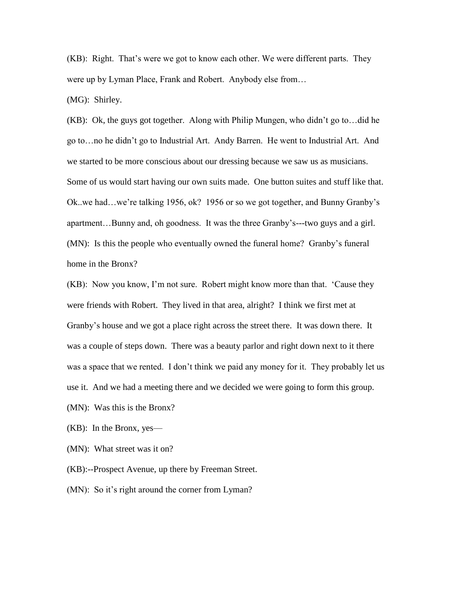(KB): Right. That's were we got to know each other. We were different parts. They were up by Lyman Place, Frank and Robert. Anybody else from…

(MG): Shirley.

(KB): Ok, the guys got together. Along with Philip Mungen, who didn't go to…did he go to…no he didn't go to Industrial Art. Andy Barren. He went to Industrial Art. And we started to be more conscious about our dressing because we saw us as musicians. Some of us would start having our own suits made. One button suites and stuff like that. Ok..we had…we're talking 1956, ok? 1956 or so we got together, and Bunny Granby's apartment…Bunny and, oh goodness. It was the three Granby's---two guys and a girl. (MN): Is this the people who eventually owned the funeral home? Granby's funeral home in the Bronx?

(KB): Now you know, I'm not sure. Robert might know more than that. 'Cause they were friends with Robert. They lived in that area, alright? I think we first met at Granby's house and we got a place right across the street there. It was down there. It was a couple of steps down. There was a beauty parlor and right down next to it there was a space that we rented. I don't think we paid any money for it. They probably let us use it. And we had a meeting there and we decided we were going to form this group.

(MN): Was this is the Bronx?

(KB): In the Bronx, yes—

(MN): What street was it on?

(KB):--Prospect Avenue, up there by Freeman Street.

(MN): So it's right around the corner from Lyman?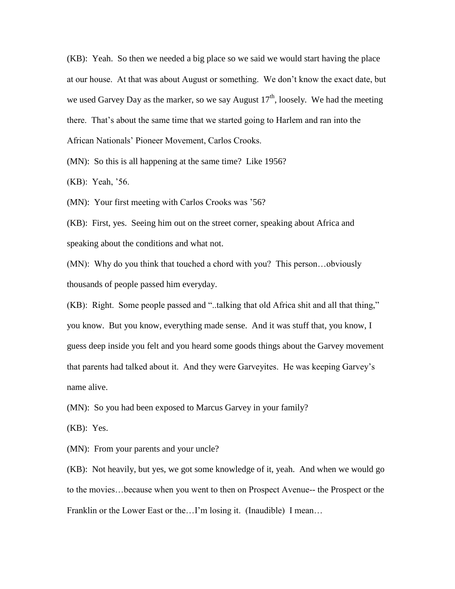(KB): Yeah. So then we needed a big place so we said we would start having the place at our house. At that was about August or something. We don't know the exact date, but we used Garvey Day as the marker, so we say August  $17<sup>th</sup>$ , loosely. We had the meeting there. That's about the same time that we started going to Harlem and ran into the African Nationals' Pioneer Movement, Carlos Crooks.

(MN): So this is all happening at the same time? Like 1956?

(KB): Yeah, '56.

(MN): Your first meeting with Carlos Crooks was '56?

(KB): First, yes. Seeing him out on the street corner, speaking about Africa and speaking about the conditions and what not.

(MN): Why do you think that touched a chord with you? This person…obviously thousands of people passed him everyday.

(KB): Right. Some people passed and "..talking that old Africa shit and all that thing," you know. But you know, everything made sense. And it was stuff that, you know, I guess deep inside you felt and you heard some goods things about the Garvey movement that parents had talked about it. And they were Garveyites. He was keeping Garvey's name alive.

(MN): So you had been exposed to Marcus Garvey in your family?

(KB): Yes.

(MN): From your parents and your uncle?

(KB): Not heavily, but yes, we got some knowledge of it, yeah. And when we would go to the movies…because when you went to then on Prospect Avenue-- the Prospect or the Franklin or the Lower East or the...I'm losing it. (Inaudible) I mean...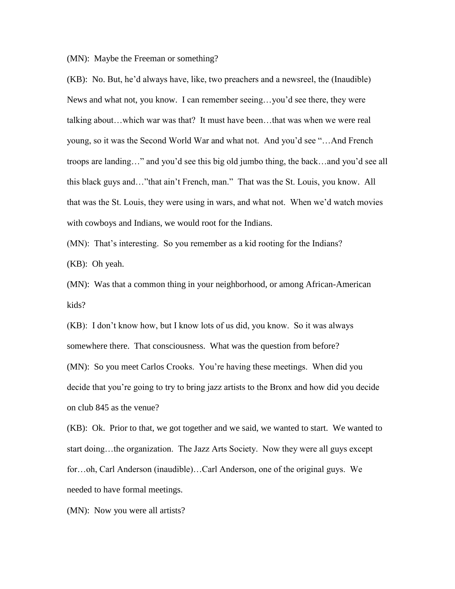(MN): Maybe the Freeman or something?

(KB): No. But, he'd always have, like, two preachers and a newsreel, the (Inaudible) News and what not, you know. I can remember seeing…you'd see there, they were talking about…which war was that? It must have been…that was when we were real young, so it was the Second World War and what not. And you'd see "…And French troops are landing…" and you'd see this big old jumbo thing, the back…and you'd see all this black guys and…"that ain't French, man." That was the St. Louis, you know. All that was the St. Louis, they were using in wars, and what not. When we'd watch movies with cowboys and Indians, we would root for the Indians.

(MN): That's interesting. So you remember as a kid rooting for the Indians? (KB): Oh yeah.

(MN): Was that a common thing in your neighborhood, or among African-American kids?

(KB): I don't know how, but I know lots of us did, you know. So it was always somewhere there. That consciousness. What was the question from before? (MN): So you meet Carlos Crooks. You're having these meetings. When did you decide that you're going to try to bring jazz artists to the Bronx and how did you decide on club 845 as the venue?

(KB): Ok. Prior to that, we got together and we said, we wanted to start. We wanted to start doing…the organization. The Jazz Arts Society. Now they were all guys except for…oh, Carl Anderson (inaudible)…Carl Anderson, one of the original guys. We needed to have formal meetings.

(MN): Now you were all artists?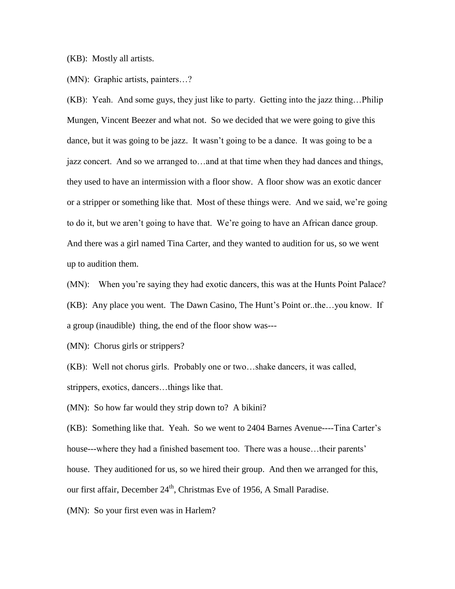## (KB): Mostly all artists.

(MN): Graphic artists, painters…?

(KB): Yeah. And some guys, they just like to party. Getting into the jazz thing…Philip Mungen, Vincent Beezer and what not. So we decided that we were going to give this dance, but it was going to be jazz. It wasn't going to be a dance. It was going to be a jazz concert. And so we arranged to…and at that time when they had dances and things, they used to have an intermission with a floor show. A floor show was an exotic dancer or a stripper or something like that. Most of these things were. And we said, we're going to do it, but we aren't going to have that. We're going to have an African dance group. And there was a girl named Tina Carter, and they wanted to audition for us, so we went up to audition them.

(MN): When you're saying they had exotic dancers, this was at the Hunts Point Palace? (KB): Any place you went. The Dawn Casino, The Hunt's Point or..the…you know. If a group (inaudible) thing, the end of the floor show was---

(MN): Chorus girls or strippers?

(KB): Well not chorus girls. Probably one or two…shake dancers, it was called, strippers, exotics, dancers…things like that.

(MN): So how far would they strip down to? A bikini?

(KB): Something like that. Yeah. So we went to 2404 Barnes Avenue----Tina Carter's house---where they had a finished basement too. There was a house…their parents' house. They auditioned for us, so we hired their group. And then we arranged for this, our first affair, December 24<sup>th</sup>, Christmas Eve of 1956, A Small Paradise.

(MN): So your first even was in Harlem?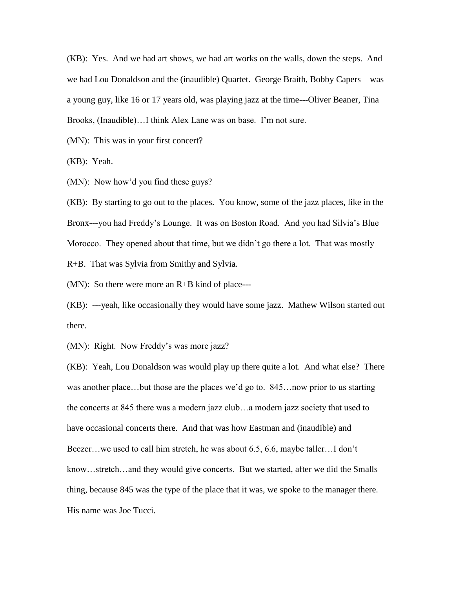(KB): Yes. And we had art shows, we had art works on the walls, down the steps. And we had Lou Donaldson and the (inaudible) Quartet. George Braith, Bobby Capers—was a young guy, like 16 or 17 years old, was playing jazz at the time---Oliver Beaner, Tina Brooks, (Inaudible)…I think Alex Lane was on base. I'm not sure.

(MN): This was in your first concert?

(KB): Yeah.

(MN): Now how'd you find these guys?

(KB): By starting to go out to the places. You know, some of the jazz places, like in the Bronx---you had Freddy's Lounge. It was on Boston Road. And you had Silvia's Blue Morocco. They opened about that time, but we didn't go there a lot. That was mostly R+B. That was Sylvia from Smithy and Sylvia.

(MN): So there were more an R+B kind of place---

(KB): ---yeah, like occasionally they would have some jazz. Mathew Wilson started out there.

(MN): Right. Now Freddy's was more jazz?

(KB): Yeah, Lou Donaldson was would play up there quite a lot. And what else? There was another place…but those are the places we'd go to. 845…now prior to us starting the concerts at 845 there was a modern jazz club…a modern jazz society that used to have occasional concerts there. And that was how Eastman and (inaudible) and Beezer…we used to call him stretch, he was about 6.5, 6.6, maybe taller…I don't know…stretch…and they would give concerts. But we started, after we did the Smalls thing, because 845 was the type of the place that it was, we spoke to the manager there. His name was Joe Tucci.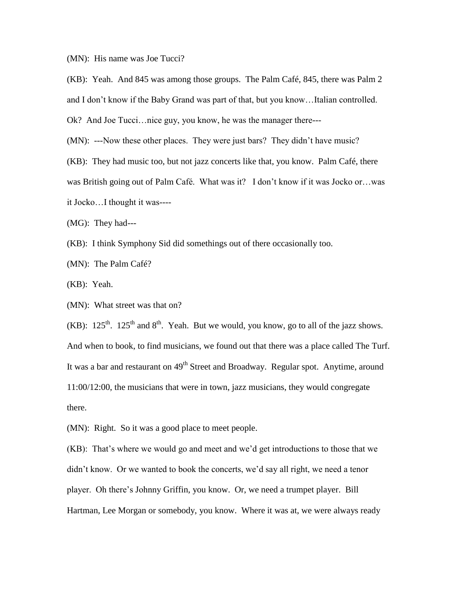(MN): His name was Joe Tucci?

(KB): Yeah. And 845 was among those groups. The Palm Café, 845, there was Palm 2 and I don't know if the Baby Grand was part of that, but you know…Italian controlled.

Ok? And Joe Tucci…nice guy, you know, he was the manager there---

(MN): ---Now these other places. They were just bars? They didn't have music?

(KB): They had music too, but not jazz concerts like that, you know. Palm Café, there was British going out of Palm Café. What was it? I don't know if it was Jocko or…was it Jocko…I thought it was----

(MG): They had---

(KB): I think Symphony Sid did somethings out of there occasionally too.

(MN): The Palm Café?

(KB): Yeah.

(MN): What street was that on?

(KB):  $125^{th}$ .  $125^{th}$  and  $8^{th}$ . Yeah. But we would, you know, go to all of the jazz shows. And when to book, to find musicians, we found out that there was a place called The Turf. It was a bar and restaurant on 49<sup>th</sup> Street and Broadway. Regular spot. Anytime, around 11:00/12:00, the musicians that were in town, jazz musicians, they would congregate there.

(MN): Right. So it was a good place to meet people.

(KB): That's where we would go and meet and we'd get introductions to those that we didn't know. Or we wanted to book the concerts, we'd say all right, we need a tenor player. Oh there's Johnny Griffin, you know. Or, we need a trumpet player. Bill Hartman, Lee Morgan or somebody, you know. Where it was at, we were always ready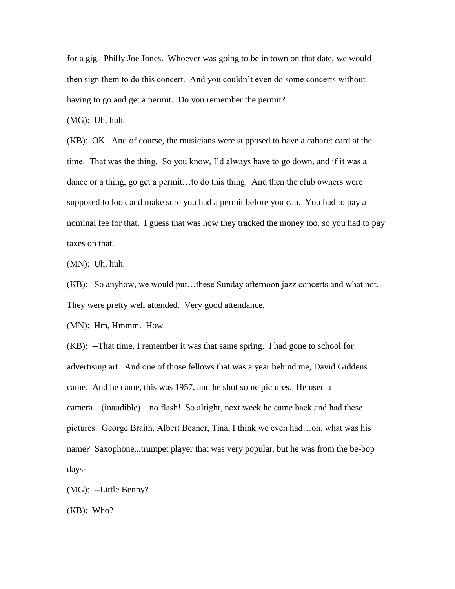for a gig. Philly Joe Jones. Whoever was going to be in town on that date, we would then sign them to do this concert. And you couldn't even do some concerts without having to go and get a permit. Do you remember the permit?

(MG): Uh, huh.

(KB): OK. And of course, the musicians were supposed to have a cabaret card at the time. That was the thing. So you know, I'd always have to go down, and if it was a dance or a thing, go get a permit…to do this thing. And then the club owners were supposed to look and make sure you had a permit before you can. You had to pay a nominal fee for that. I guess that was how they tracked the money too, so you had to pay taxes on that.

(MN): Uh, huh.

(KB): So anyhow, we would put…these Sunday afternoon jazz concerts and what not. They were pretty well attended. Very good attendance.

(MN): Hm, Hmmm. How—

(KB): --That time, I remember it was that same spring. I had gone to school for advertising art. And one of those fellows that was a year behind me, David Giddens came. And he came, this was 1957, and he shot some pictures. He used a camera…(inaudible)…no flash! So alright, next week he came back and had these pictures. George Braith, Albert Beaner, Tina, I think we even had…oh, what was his name? Saxophone...trumpet player that was very popular, but he was from the be-bop days-

(MG): --Little Benny?

(KB): Who?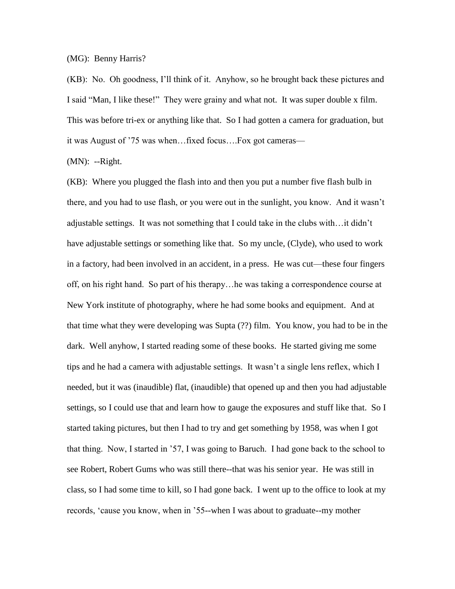(MG): Benny Harris?

(KB): No. Oh goodness, I'll think of it. Anyhow, so he brought back these pictures and I said "Man, I like these!" They were grainy and what not. It was super double x film. This was before tri-ex or anything like that. So I had gotten a camera for graduation, but it was August of '75 was when…fixed focus….Fox got cameras—

(MN): --Right.

(KB): Where you plugged the flash into and then you put a number five flash bulb in there, and you had to use flash, or you were out in the sunlight, you know. And it wasn't adjustable settings. It was not something that I could take in the clubs with…it didn't have adjustable settings or something like that. So my uncle, (Clyde), who used to work in a factory, had been involved in an accident, in a press. He was cut—these four fingers off, on his right hand. So part of his therapy…he was taking a correspondence course at New York institute of photography, where he had some books and equipment. And at that time what they were developing was Supta (??) film. You know, you had to be in the dark. Well anyhow, I started reading some of these books. He started giving me some tips and he had a camera with adjustable settings. It wasn't a single lens reflex, which I needed, but it was (inaudible) flat, (inaudible) that opened up and then you had adjustable settings, so I could use that and learn how to gauge the exposures and stuff like that. So I started taking pictures, but then I had to try and get something by 1958, was when I got that thing. Now, I started in '57, I was going to Baruch. I had gone back to the school to see Robert, Robert Gums who was still there--that was his senior year. He was still in class, so I had some time to kill, so I had gone back. I went up to the office to look at my records, 'cause you know, when in '55--when I was about to graduate--my mother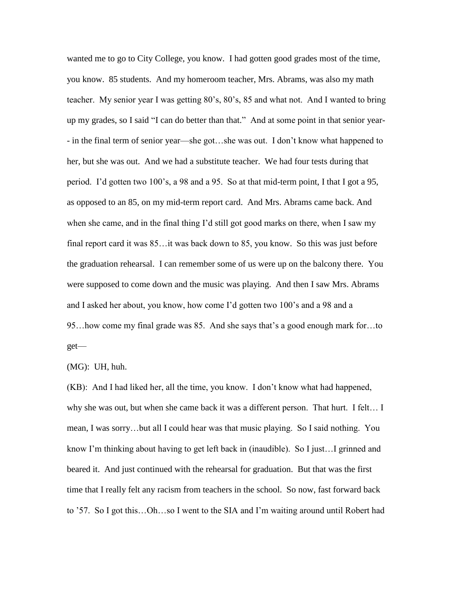wanted me to go to City College, you know. I had gotten good grades most of the time, you know. 85 students. And my homeroom teacher, Mrs. Abrams, was also my math teacher. My senior year I was getting 80's, 80's, 85 and what not. And I wanted to bring up my grades, so I said "I can do better than that." And at some point in that senior year- - in the final term of senior year—she got…she was out. I don't know what happened to her, but she was out. And we had a substitute teacher. We had four tests during that period. I'd gotten two 100's, a 98 and a 95. So at that mid-term point, I that I got a 95, as opposed to an 85, on my mid-term report card. And Mrs. Abrams came back. And when she came, and in the final thing I'd still got good marks on there, when I saw my final report card it was 85…it was back down to 85, you know. So this was just before the graduation rehearsal. I can remember some of us were up on the balcony there. You were supposed to come down and the music was playing. And then I saw Mrs. Abrams and I asked her about, you know, how come I'd gotten two 100's and a 98 and a 95…how come my final grade was 85. And she says that's a good enough mark for…to get—

(MG): UH, huh.

(KB): And I had liked her, all the time, you know. I don't know what had happened, why she was out, but when she came back it was a different person. That hurt. I felt… I mean, I was sorry…but all I could hear was that music playing. So I said nothing. You know I'm thinking about having to get left back in (inaudible). So I just…I grinned and beared it. And just continued with the rehearsal for graduation. But that was the first time that I really felt any racism from teachers in the school. So now, fast forward back to '57. So I got this…Oh…so I went to the SIA and I'm waiting around until Robert had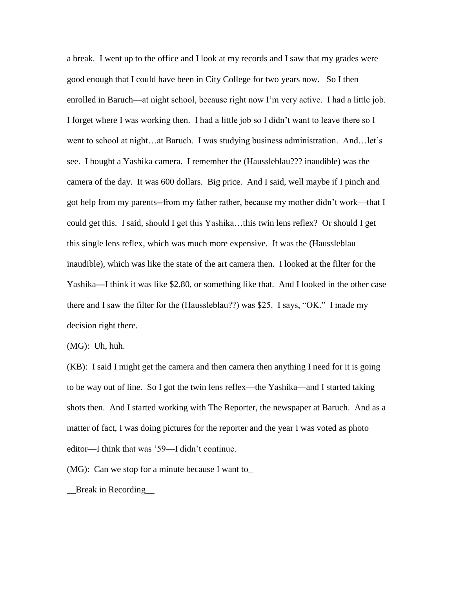a break. I went up to the office and I look at my records and I saw that my grades were good enough that I could have been in City College for two years now. So I then enrolled in Baruch—at night school, because right now I'm very active. I had a little job. I forget where I was working then. I had a little job so I didn't want to leave there so I went to school at night…at Baruch. I was studying business administration. And…let's see. I bought a Yashika camera. I remember the (Haussleblau??? inaudible) was the camera of the day. It was 600 dollars. Big price. And I said, well maybe if I pinch and got help from my parents--from my father rather, because my mother didn't work—that I could get this. I said, should I get this Yashika…this twin lens reflex? Or should I get this single lens reflex, which was much more expensive. It was the (Haussleblau inaudible), which was like the state of the art camera then. I looked at the filter for the Yashika---I think it was like \$2.80, or something like that. And I looked in the other case there and I saw the filter for the (Haussleblau??) was \$25. I says, "OK." I made my decision right there.

(MG): Uh, huh.

(KB): I said I might get the camera and then camera then anything I need for it is going to be way out of line. So I got the twin lens reflex—the Yashika—and I started taking shots then. And I started working with The Reporter, the newspaper at Baruch. And as a matter of fact, I was doing pictures for the reporter and the year I was voted as photo editor—I think that was '59—I didn't continue.

(MG): Can we stop for a minute because I want to\_

\_\_Break in Recording\_\_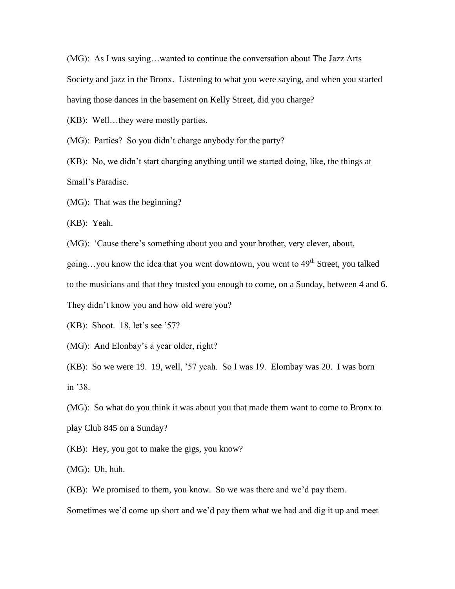(MG): As I was saying…wanted to continue the conversation about The Jazz Arts Society and jazz in the Bronx. Listening to what you were saying, and when you started having those dances in the basement on Kelly Street, did you charge?

(KB): Well…they were mostly parties.

(MG): Parties? So you didn't charge anybody for the party?

(KB): No, we didn't start charging anything until we started doing, like, the things at Small's Paradise.

(MG): That was the beginning?

(KB): Yeah.

(MG): 'Cause there's something about you and your brother, very clever, about,

going...you know the idea that you went downtown, you went to 49<sup>th</sup> Street, you talked

to the musicians and that they trusted you enough to come, on a Sunday, between 4 and 6.

They didn't know you and how old were you?

(KB): Shoot. 18, let's see '57?

(MG): And Elonbay's a year older, right?

(KB): So we were 19. 19, well, '57 yeah. So I was 19. Elombay was 20. I was born in '38.

(MG): So what do you think it was about you that made them want to come to Bronx to play Club 845 on a Sunday?

(KB): Hey, you got to make the gigs, you know?

(MG): Uh, huh.

(KB): We promised to them, you know. So we was there and we'd pay them.

Sometimes we'd come up short and we'd pay them what we had and dig it up and meet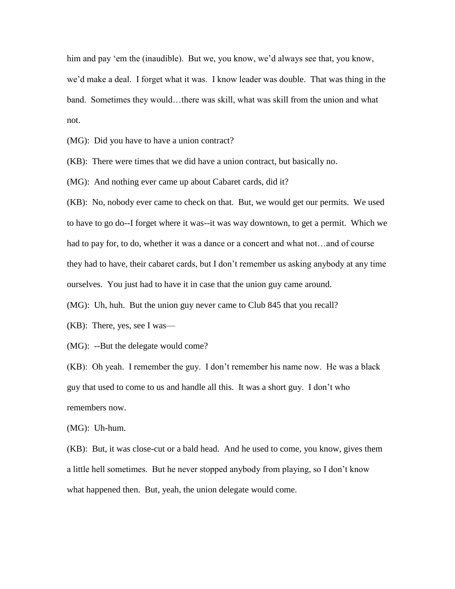him and pay 'em the (inaudible). But we, you know, we'd always see that, you know, we'd make a deal. I forget what it was. I know leader was double. That was thing in the band. Sometimes they would…there was skill, what was skill from the union and what not.

(MG): Did you have to have a union contract?

(KB): There were times that we did have a union contract, but basically no.

(MG): And nothing ever came up about Cabaret cards, did it?

(KB): No, nobody ever came to check on that. But, we would get our permits. We used to have to go do--I forget where it was--it was way downtown, to get a permit. Which we had to pay for, to do, whether it was a dance or a concert and what not…and of course they had to have, their cabaret cards, but I don't remember us asking anybody at any time ourselves. You just had to have it in case that the union guy came around.

(MG): Uh, huh. But the union guy never came to Club 845 that you recall?

(KB): There, yes, see I was—

(MG): --But the delegate would come?

(KB): Oh yeah. I remember the guy. I don't remember his name now. He was a black guy that used to come to us and handle all this. It was a short guy. I don't who remembers now.

(MG): Uh-hum.

(KB): But, it was close-cut or a bald head. And he used to come, you know, gives them a little hell sometimes. But he never stopped anybody from playing, so I don't know what happened then. But, yeah, the union delegate would come.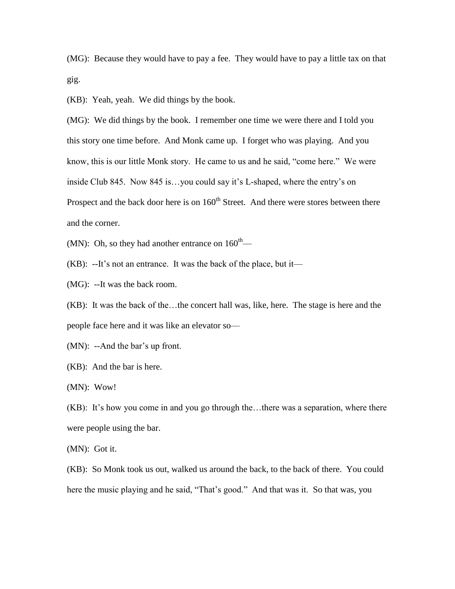(MG): Because they would have to pay a fee. They would have to pay a little tax on that gig.

(KB): Yeah, yeah. We did things by the book.

(MG): We did things by the book. I remember one time we were there and I told you this story one time before. And Monk came up. I forget who was playing. And you know, this is our little Monk story. He came to us and he said, "come here." We were inside Club 845. Now 845 is…you could say it's L-shaped, where the entry's on Prospect and the back door here is on  $160<sup>th</sup>$  Street. And there were stores between there and the corner.

(MN): Oh, so they had another entrance on  $160^{\text{th}}$ —

(KB): --It's not an entrance. It was the back of the place, but it—

(MG): --It was the back room.

(KB): It was the back of the…the concert hall was, like, here. The stage is here and the people face here and it was like an elevator so—

(MN): --And the bar's up front.

(KB): And the bar is here.

(MN): Wow!

(KB): It's how you come in and you go through the…there was a separation, where there were people using the bar.

(MN): Got it.

(KB): So Monk took us out, walked us around the back, to the back of there. You could here the music playing and he said, "That's good." And that was it. So that was, you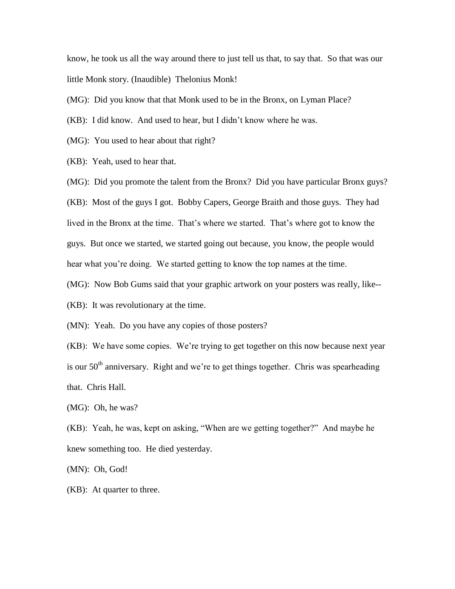know, he took us all the way around there to just tell us that, to say that. So that was our little Monk story. (Inaudible) Thelonius Monk!

(MG): Did you know that that Monk used to be in the Bronx, on Lyman Place?

(KB): I did know. And used to hear, but I didn't know where he was.

(MG): You used to hear about that right?

(KB): Yeah, used to hear that.

(MG): Did you promote the talent from the Bronx? Did you have particular Bronx guys? (KB): Most of the guys I got. Bobby Capers, George Braith and those guys. They had lived in the Bronx at the time. That's where we started. That's where got to know the guys. But once we started, we started going out because, you know, the people would hear what you're doing. We started getting to know the top names at the time.

(MG): Now Bob Gums said that your graphic artwork on your posters was really, like--

(KB): It was revolutionary at the time.

(MN): Yeah. Do you have any copies of those posters?

(KB): We have some copies. We're trying to get together on this now because next year is our 50<sup>th</sup> anniversary. Right and we're to get things together. Chris was spearheading that. Chris Hall.

(MG): Oh, he was?

(KB): Yeah, he was, kept on asking, "When are we getting together?" And maybe he knew something too. He died yesterday.

(MN): Oh, God!

(KB): At quarter to three.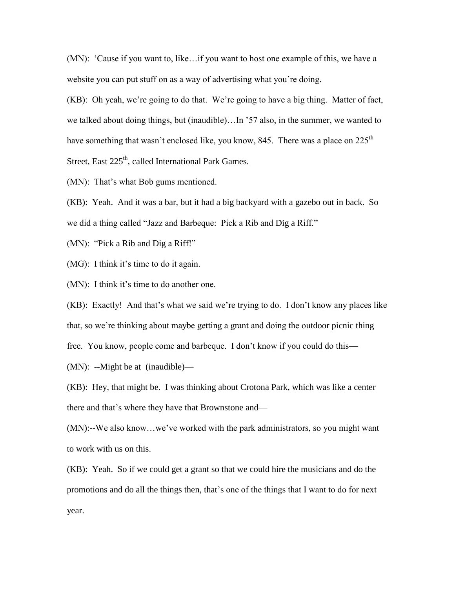(MN): 'Cause if you want to, like…if you want to host one example of this, we have a website you can put stuff on as a way of advertising what you're doing.

(KB): Oh yeah, we're going to do that. We're going to have a big thing. Matter of fact, we talked about doing things, but (inaudible)…In '57 also, in the summer, we wanted to have something that wasn't enclosed like, you know, 845. There was a place on  $225<sup>th</sup>$ Street, East 225<sup>th</sup>, called International Park Games.

(MN): That's what Bob gums mentioned.

(KB): Yeah. And it was a bar, but it had a big backyard with a gazebo out in back. So we did a thing called "Jazz and Barbeque: Pick a Rib and Dig a Riff."

(MN): "Pick a Rib and Dig a Riff!"

(MG): I think it's time to do it again.

(MN): I think it's time to do another one.

(KB): Exactly! And that's what we said we're trying to do. I don't know any places like that, so we're thinking about maybe getting a grant and doing the outdoor picnic thing free. You know, people come and barbeque. I don't know if you could do this—

(MN): --Might be at (inaudible)—

(KB): Hey, that might be. I was thinking about Crotona Park, which was like a center there and that's where they have that Brownstone and—

(MN):--We also know…we've worked with the park administrators, so you might want to work with us on this.

(KB): Yeah. So if we could get a grant so that we could hire the musicians and do the promotions and do all the things then, that's one of the things that I want to do for next year.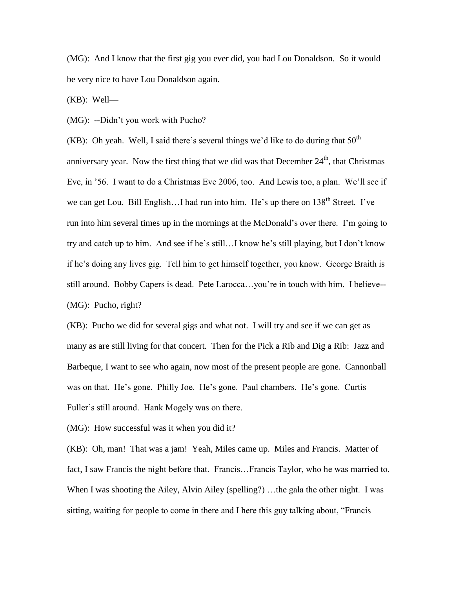(MG): And I know that the first gig you ever did, you had Lou Donaldson. So it would be very nice to have Lou Donaldson again.

(KB): Well—

(MG): --Didn't you work with Pucho?

(KB): Oh yeah. Well, I said there's several things we'd like to do during that  $50<sup>th</sup>$ anniversary year. Now the first thing that we did was that December  $24<sup>th</sup>$ , that Christmas Eve, in '56. I want to do a Christmas Eve 2006, too. And Lewis too, a plan. We'll see if we can get Lou. Bill English...I had run into him. He's up there on 138<sup>th</sup> Street. I've run into him several times up in the mornings at the McDonald's over there. I'm going to try and catch up to him. And see if he's still…I know he's still playing, but I don't know if he's doing any lives gig. Tell him to get himself together, you know. George Braith is still around. Bobby Capers is dead. Pete Larocca…you're in touch with him. I believe-- (MG): Pucho, right?

(KB): Pucho we did for several gigs and what not. I will try and see if we can get as many as are still living for that concert. Then for the Pick a Rib and Dig a Rib: Jazz and Barbeque, I want to see who again, now most of the present people are gone. Cannonball was on that. He's gone. Philly Joe. He's gone. Paul chambers. He's gone. Curtis Fuller's still around. Hank Mogely was on there.

(MG): How successful was it when you did it?

(KB): Oh, man! That was a jam! Yeah, Miles came up. Miles and Francis. Matter of fact, I saw Francis the night before that. Francis…Francis Taylor, who he was married to. When I was shooting the Ailey, Alvin Ailey (spelling?) …the gala the other night. I was sitting, waiting for people to come in there and I here this guy talking about, "Francis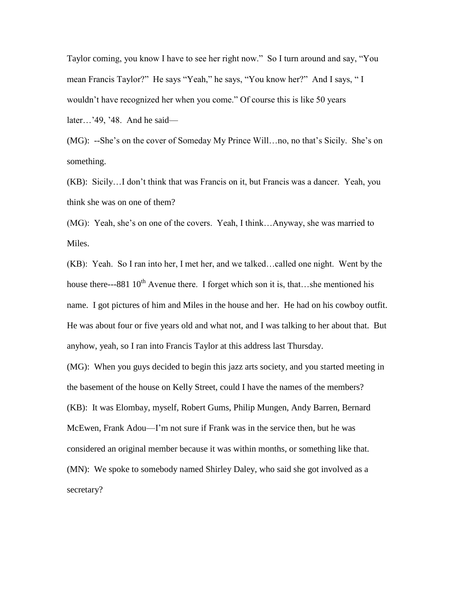Taylor coming, you know I have to see her right now." So I turn around and say, "You mean Francis Taylor?" He says "Yeah," he says, "You know her?" And I says, " I wouldn't have recognized her when you come." Of course this is like 50 years later…'49, '48. And he said—

(MG): --She's on the cover of Someday My Prince Will…no, no that's Sicily. She's on something.

(KB): Sicily…I don't think that was Francis on it, but Francis was a dancer. Yeah, you think she was on one of them?

(MG): Yeah, she's on one of the covers. Yeah, I think…Anyway, she was married to Miles.

(KB): Yeah. So I ran into her, I met her, and we talked…called one night. Went by the house there---881  $10^{th}$  Avenue there. I forget which son it is, that...she mentioned his name. I got pictures of him and Miles in the house and her. He had on his cowboy outfit. He was about four or five years old and what not, and I was talking to her about that. But anyhow, yeah, so I ran into Francis Taylor at this address last Thursday.

(MG): When you guys decided to begin this jazz arts society, and you started meeting in the basement of the house on Kelly Street, could I have the names of the members? (KB): It was Elombay, myself, Robert Gums, Philip Mungen, Andy Barren, Bernard McEwen, Frank Adou—I'm not sure if Frank was in the service then, but he was considered an original member because it was within months, or something like that. (MN): We spoke to somebody named Shirley Daley, who said she got involved as a secretary?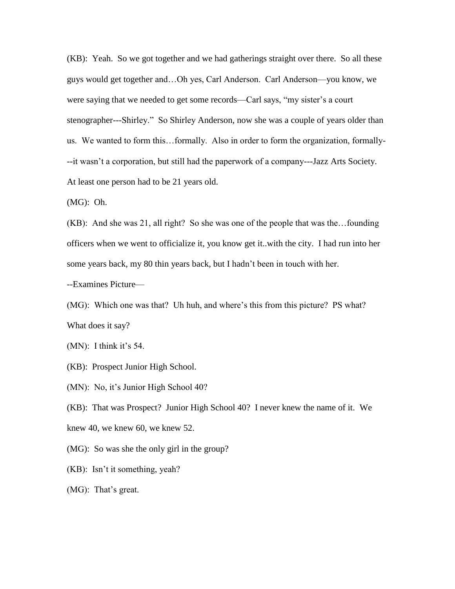(KB): Yeah. So we got together and we had gatherings straight over there. So all these guys would get together and…Oh yes, Carl Anderson. Carl Anderson—you know, we were saying that we needed to get some records—Carl says, "my sister's a court stenographer---Shirley." So Shirley Anderson, now she was a couple of years older than us. We wanted to form this…formally. Also in order to form the organization, formally- --it wasn't a corporation, but still had the paperwork of a company---Jazz Arts Society. At least one person had to be 21 years old.

(MG): Oh.

(KB): And she was 21, all right? So she was one of the people that was the…founding officers when we went to officialize it, you know get it..with the city. I had run into her some years back, my 80 thin years back, but I hadn't been in touch with her.

--Examines Picture—

(MG): Which one was that? Uh huh, and where's this from this picture? PS what? What does it say?

(MN): I think it's 54.

- (KB): Prospect Junior High School.
- (MN): No, it's Junior High School 40?

(KB): That was Prospect? Junior High School 40? I never knew the name of it. We

knew 40, we knew 60, we knew 52.

(MG): So was she the only girl in the group?

- (KB): Isn't it something, yeah?
- (MG): That's great.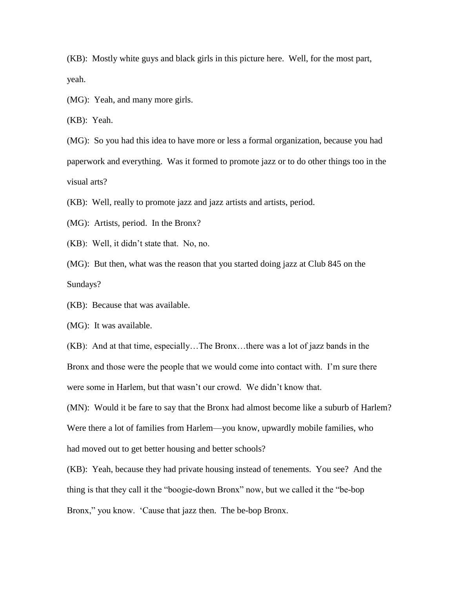(KB): Mostly white guys and black girls in this picture here. Well, for the most part, yeah.

(MG): Yeah, and many more girls.

(KB): Yeah.

(MG): So you had this idea to have more or less a formal organization, because you had paperwork and everything. Was it formed to promote jazz or to do other things too in the visual arts?

(KB): Well, really to promote jazz and jazz artists and artists, period.

(MG): Artists, period. In the Bronx?

(KB): Well, it didn't state that. No, no.

(MG): But then, what was the reason that you started doing jazz at Club 845 on the Sundays?

(KB): Because that was available.

(MG): It was available.

(KB): And at that time, especially…The Bronx…there was a lot of jazz bands in the Bronx and those were the people that we would come into contact with. I'm sure there were some in Harlem, but that wasn't our crowd. We didn't know that.

(MN): Would it be fare to say that the Bronx had almost become like a suburb of Harlem? Were there a lot of families from Harlem—you know, upwardly mobile families, who had moved out to get better housing and better schools?

(KB): Yeah, because they had private housing instead of tenements. You see? And the thing is that they call it the "boogie-down Bronx" now, but we called it the "be-bop Bronx," you know. 'Cause that jazz then. The be-bop Bronx.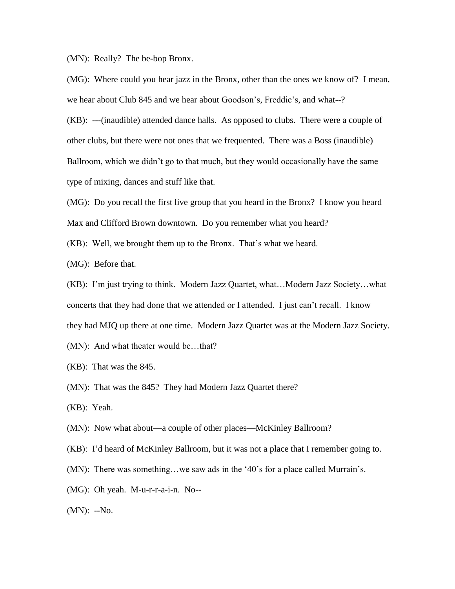(MN): Really? The be-bop Bronx.

(MG): Where could you hear jazz in the Bronx, other than the ones we know of? I mean, we hear about Club 845 and we hear about Goodson's, Freddie's, and what--?

(KB): ---(inaudible) attended dance halls. As opposed to clubs. There were a couple of other clubs, but there were not ones that we frequented. There was a Boss (inaudible) Ballroom, which we didn't go to that much, but they would occasionally have the same type of mixing, dances and stuff like that.

(MG): Do you recall the first live group that you heard in the Bronx? I know you heard Max and Clifford Brown downtown. Do you remember what you heard?

(KB): Well, we brought them up to the Bronx. That's what we heard.

(MG): Before that.

(KB): I'm just trying to think. Modern Jazz Quartet, what…Modern Jazz Society…what concerts that they had done that we attended or I attended. I just can't recall. I know they had MJQ up there at one time. Modern Jazz Quartet was at the Modern Jazz Society. (MN): And what theater would be…that?

(KB): That was the 845.

(MN): That was the 845? They had Modern Jazz Quartet there?

(KB): Yeah.

(MN): Now what about—a couple of other places—McKinley Ballroom?

(KB): I'd heard of McKinley Ballroom, but it was not a place that I remember going to.

(MN): There was something…we saw ads in the '40's for a place called Murrain's.

(MG): Oh yeah. M-u-r-r-a-i-n. No--

(MN): --No.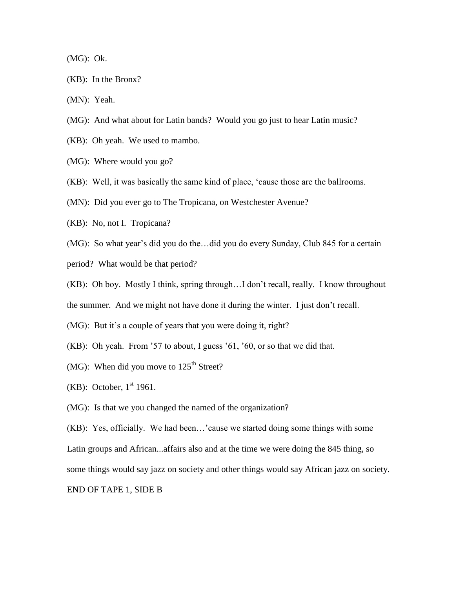(MG): Ok.

(KB): In the Bronx?

(MN): Yeah.

(MG): And what about for Latin bands? Would you go just to hear Latin music?

(KB): Oh yeah. We used to mambo.

(MG): Where would you go?

(KB): Well, it was basically the same kind of place, 'cause those are the ballrooms.

(MN): Did you ever go to The Tropicana, on Westchester Avenue?

(KB): No, not I. Tropicana?

(MG): So what year's did you do the…did you do every Sunday, Club 845 for a certain period? What would be that period?

(KB): Oh boy. Mostly I think, spring through…I don't recall, really. I know throughout

the summer. And we might not have done it during the winter. I just don't recall.

(MG): But it's a couple of years that you were doing it, right?

(KB): Oh yeah. From '57 to about, I guess '61, '60, or so that we did that.

(MG): When did you move to  $125<sup>th</sup>$  Street?

(KB): October,  $1<sup>st</sup> 1961$ .

(MG): Is that we you changed the named of the organization?

(KB): Yes, officially. We had been…'cause we started doing some things with some Latin groups and African...affairs also and at the time we were doing the 845 thing, so some things would say jazz on society and other things would say African jazz on society. END OF TAPE 1, SIDE B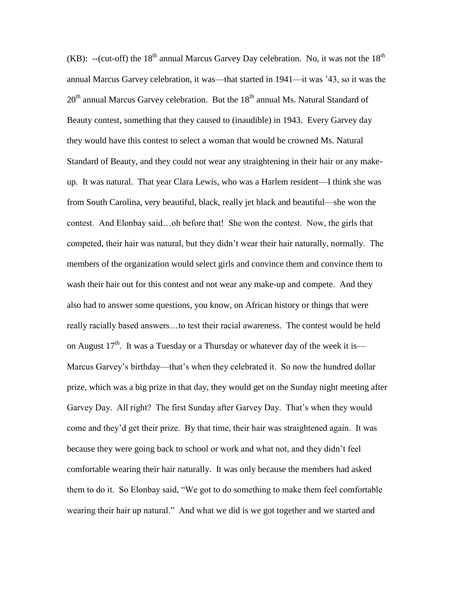(KB): --(cut-off) the  $18<sup>th</sup>$  annual Marcus Garvey Day celebration. No, it was not the  $18<sup>th</sup>$ annual Marcus Garvey celebration, it was—that started in 1941—it was '43, so it was the  $20<sup>th</sup>$  annual Marcus Garvey celebration. But the  $18<sup>th</sup>$  annual Ms. Natural Standard of Beauty contest, something that they caused to (inaudible) in 1943. Every Garvey day they would have this contest to select a woman that would be crowned Ms. Natural Standard of Beauty, and they could not wear any straightening in their hair or any makeup. It was natural. That year Clara Lewis, who was a Harlem resident—I think she was from South Carolina, very beautiful, black, really jet black and beautiful—she won the contest. And Elonbay said…oh before that! She won the contest. Now, the girls that competed, their hair was natural, but they didn't wear their hair naturally, normally. The members of the organization would select girls and convince them and convince them to wash their hair out for this contest and not wear any make-up and compete. And they also had to answer some questions, you know, on African history or things that were really racially based answers…to test their racial awareness. The contest would be held on August  $17<sup>th</sup>$ . It was a Tuesday or a Thursday or whatever day of the week it is— Marcus Garvey's birthday—that's when they celebrated it. So now the hundred dollar prize, which was a big prize in that day, they would get on the Sunday night meeting after Garvey Day. All right? The first Sunday after Garvey Day. That's when they would come and they'd get their prize. By that time, their hair was straightened again. It was because they were going back to school or work and what not, and they didn't feel comfortable wearing their hair naturally. It was only because the members had asked them to do it. So Elonbay said, "We got to do something to make them feel comfortable wearing their hair up natural." And what we did is we got together and we started and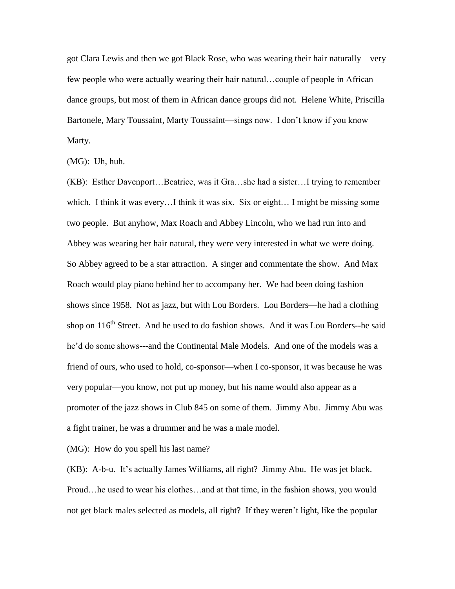got Clara Lewis and then we got Black Rose, who was wearing their hair naturally—very few people who were actually wearing their hair natural…couple of people in African dance groups, but most of them in African dance groups did not. Helene White, Priscilla Bartonele, Mary Toussaint, Marty Toussaint—sings now. I don't know if you know Marty.

(MG): Uh, huh.

(KB): Esther Davenport…Beatrice, was it Gra…she had a sister…I trying to remember which. I think it was every...I think it was six. Six or eight... I might be missing some two people. But anyhow, Max Roach and Abbey Lincoln, who we had run into and Abbey was wearing her hair natural, they were very interested in what we were doing. So Abbey agreed to be a star attraction. A singer and commentate the show. And Max Roach would play piano behind her to accompany her. We had been doing fashion shows since 1958. Not as jazz, but with Lou Borders. Lou Borders—he had a clothing shop on  $116<sup>th</sup>$  Street. And he used to do fashion shows. And it was Lou Borders--he said he'd do some shows---and the Continental Male Models. And one of the models was a friend of ours, who used to hold, co-sponsor—when I co-sponsor, it was because he was very popular—you know, not put up money, but his name would also appear as a promoter of the jazz shows in Club 845 on some of them. Jimmy Abu. Jimmy Abu was a fight trainer, he was a drummer and he was a male model.

(MG): How do you spell his last name?

(KB): A-b-u. It's actually James Williams, all right? Jimmy Abu. He was jet black. Proud…he used to wear his clothes…and at that time, in the fashion shows, you would not get black males selected as models, all right? If they weren't light, like the popular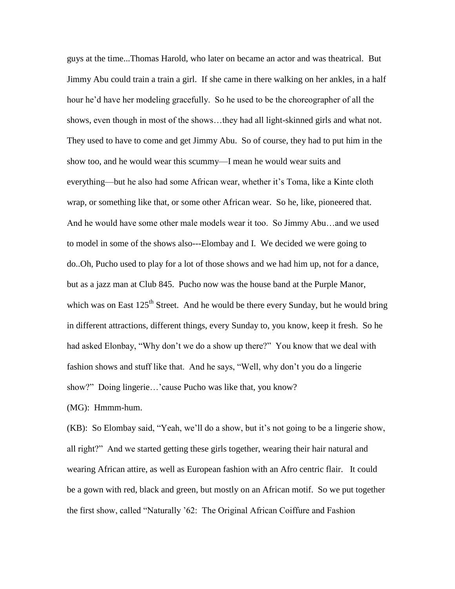guys at the time...Thomas Harold, who later on became an actor and was theatrical. But Jimmy Abu could train a train a girl. If she came in there walking on her ankles, in a half hour he'd have her modeling gracefully. So he used to be the choreographer of all the shows, even though in most of the shows…they had all light-skinned girls and what not. They used to have to come and get Jimmy Abu. So of course, they had to put him in the show too, and he would wear this scummy—I mean he would wear suits and everything—but he also had some African wear, whether it's Toma, like a Kinte cloth wrap, or something like that, or some other African wear. So he, like, pioneered that. And he would have some other male models wear it too. So Jimmy Abu…and we used to model in some of the shows also---Elombay and I. We decided we were going to do..Oh, Pucho used to play for a lot of those shows and we had him up, not for a dance, but as a jazz man at Club 845. Pucho now was the house band at the Purple Manor, which was on East  $125<sup>th</sup>$  Street. And he would be there every Sunday, but he would bring in different attractions, different things, every Sunday to, you know, keep it fresh. So he had asked Elonbay, "Why don't we do a show up there?" You know that we deal with fashion shows and stuff like that. And he says, "Well, why don't you do a lingerie show?" Doing lingerie...' cause Pucho was like that, you know?

(MG): Hmmm-hum.

(KB): So Elombay said, "Yeah, we'll do a show, but it's not going to be a lingerie show, all right?" And we started getting these girls together, wearing their hair natural and wearing African attire, as well as European fashion with an Afro centric flair. It could be a gown with red, black and green, but mostly on an African motif. So we put together the first show, called "Naturally '62: The Original African Coiffure and Fashion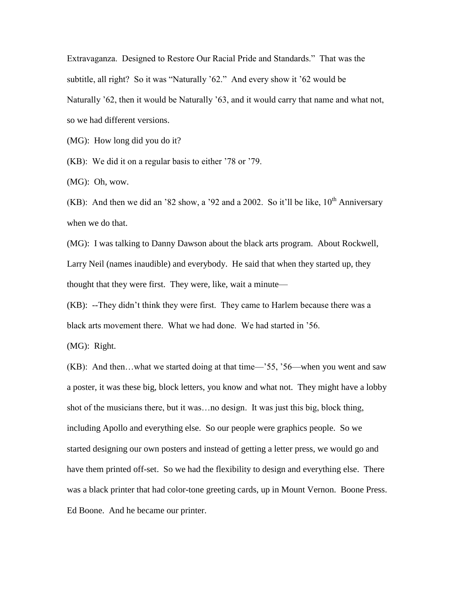Extravaganza. Designed to Restore Our Racial Pride and Standards." That was the subtitle, all right? So it was "Naturally '62." And every show it '62 would be Naturally '62, then it would be Naturally '63, and it would carry that name and what not, so we had different versions.

(MG): How long did you do it?

(KB): We did it on a regular basis to either '78 or '79.

(MG): Oh, wow.

(KB): And then we did an '82 show, a '92 and a 2002. So it'll be like,  $10^{th}$  Anniversary when we do that.

(MG): I was talking to Danny Dawson about the black arts program. About Rockwell, Larry Neil (names inaudible) and everybody. He said that when they started up, they thought that they were first. They were, like, wait a minute—

(KB): --They didn't think they were first. They came to Harlem because there was a black arts movement there. What we had done. We had started in '56.

(MG): Right.

(KB): And then…what we started doing at that time—'55, '56—when you went and saw a poster, it was these big, block letters, you know and what not. They might have a lobby shot of the musicians there, but it was…no design. It was just this big, block thing, including Apollo and everything else. So our people were graphics people. So we started designing our own posters and instead of getting a letter press, we would go and have them printed off-set. So we had the flexibility to design and everything else. There was a black printer that had color-tone greeting cards, up in Mount Vernon. Boone Press. Ed Boone. And he became our printer.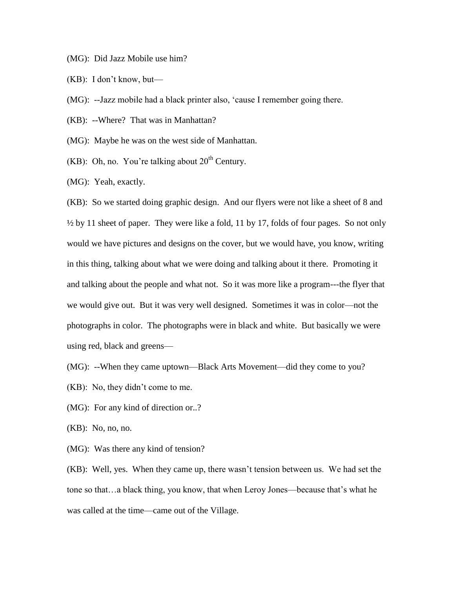## (MG): Did Jazz Mobile use him?

(KB): I don't know, but—

(MG): --Jazz mobile had a black printer also, 'cause I remember going there.

(KB): --Where? That was in Manhattan?

(MG): Maybe he was on the west side of Manhattan.

(KB): Oh, no. You're talking about  $20<sup>th</sup>$  Century.

(MG): Yeah, exactly.

(KB): So we started doing graphic design. And our flyers were not like a sheet of 8 and  $\frac{1}{2}$  by 11 sheet of paper. They were like a fold, 11 by 17, folds of four pages. So not only would we have pictures and designs on the cover, but we would have, you know, writing in this thing, talking about what we were doing and talking about it there. Promoting it and talking about the people and what not. So it was more like a program---the flyer that we would give out. But it was very well designed. Sometimes it was in color—not the photographs in color. The photographs were in black and white. But basically we were using red, black and greens—

(MG): --When they came uptown—Black Arts Movement—did they come to you?

(KB): No, they didn't come to me.

(MG): For any kind of direction or..?

(KB): No, no, no.

(MG): Was there any kind of tension?

(KB): Well, yes. When they came up, there wasn't tension between us. We had set the tone so that…a black thing, you know, that when Leroy Jones—because that's what he was called at the time—came out of the Village.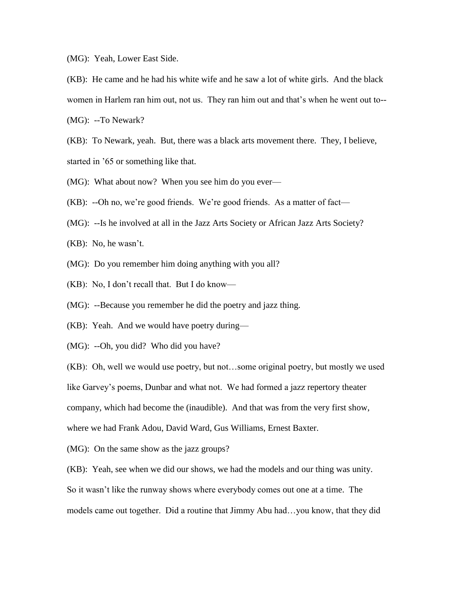(MG): Yeah, Lower East Side.

(KB): He came and he had his white wife and he saw a lot of white girls. And the black women in Harlem ran him out, not us. They ran him out and that's when he went out to-- (MG): --To Newark?

(KB): To Newark, yeah. But, there was a black arts movement there. They, I believe, started in '65 or something like that.

(MG): What about now? When you see him do you ever—

(KB): --Oh no, we're good friends. We're good friends. As a matter of fact—

(MG): --Is he involved at all in the Jazz Arts Society or African Jazz Arts Society?

(KB): No, he wasn't.

(MG): Do you remember him doing anything with you all?

(KB): No, I don't recall that. But I do know—

(MG): --Because you remember he did the poetry and jazz thing.

(KB): Yeah. And we would have poetry during—

(MG): --Oh, you did? Who did you have?

(KB): Oh, well we would use poetry, but not…some original poetry, but mostly we used like Garvey's poems, Dunbar and what not. We had formed a jazz repertory theater company, which had become the (inaudible). And that was from the very first show, where we had Frank Adou, David Ward, Gus Williams, Ernest Baxter.

(MG): On the same show as the jazz groups?

(KB): Yeah, see when we did our shows, we had the models and our thing was unity.

So it wasn't like the runway shows where everybody comes out one at a time. The

models came out together. Did a routine that Jimmy Abu had…you know, that they did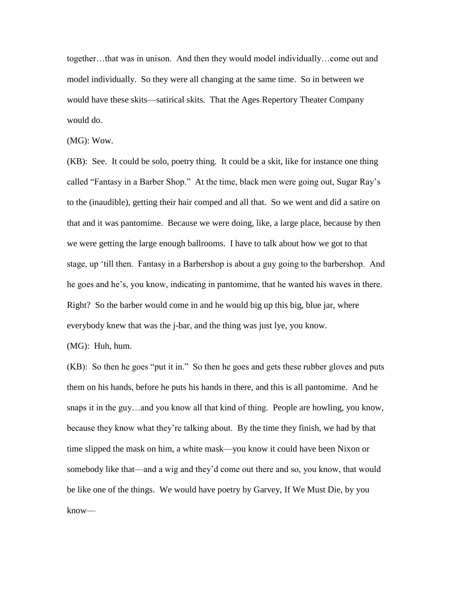together…that was in unison. And then they would model individually…come out and model individually. So they were all changing at the same time. So in between we would have these skits—satirical skits. That the Ages Repertory Theater Company would do.

(MG): Wow.

(KB): See. It could be solo, poetry thing. It could be a skit, like for instance one thing called "Fantasy in a Barber Shop." At the time, black men were going out, Sugar Ray's to the (inaudible), getting their hair comped and all that. So we went and did a satire on that and it was pantomime. Because we were doing, like, a large place, because by then we were getting the large enough ballrooms. I have to talk about how we got to that stage, up 'till then. Fantasy in a Barbershop is about a guy going to the barbershop. And he goes and he's, you know, indicating in pantomime, that he wanted his waves in there. Right? So the barber would come in and he would big up this big, blue jar, where everybody knew that was the j-bar, and the thing was just lye, you know.

(MG): Huh, hum.

(KB): So then he goes "put it in." So then he goes and gets these rubber gloves and puts them on his hands, before he puts his hands in there, and this is all pantomime. And he snaps it in the guy…and you know all that kind of thing. People are howling, you know, because they know what they're talking about. By the time they finish, we had by that time slipped the mask on him, a white mask—you know it could have been Nixon or somebody like that—and a wig and they'd come out there and so, you know, that would be like one of the things. We would have poetry by Garvey, If We Must Die, by you know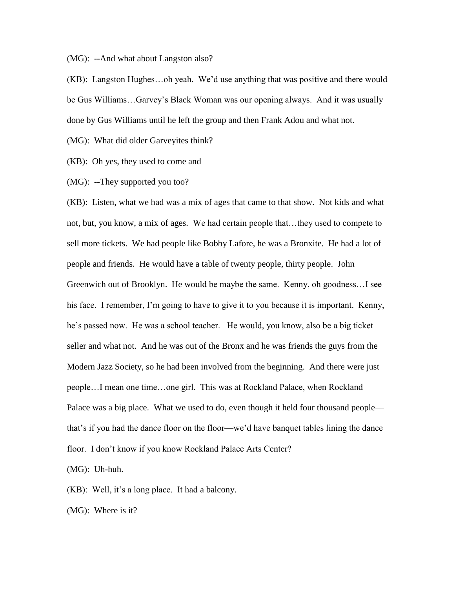(MG): --And what about Langston also?

(KB): Langston Hughes…oh yeah. We'd use anything that was positive and there would be Gus Williams…Garvey's Black Woman was our opening always. And it was usually done by Gus Williams until he left the group and then Frank Adou and what not.

(MG): What did older Garveyites think?

(KB): Oh yes, they used to come and—

(MG): --They supported you too?

(KB): Listen, what we had was a mix of ages that came to that show. Not kids and what not, but, you know, a mix of ages. We had certain people that…they used to compete to sell more tickets. We had people like Bobby Lafore, he was a Bronxite. He had a lot of people and friends. He would have a table of twenty people, thirty people. John Greenwich out of Brooklyn. He would be maybe the same. Kenny, oh goodness…I see his face. I remember, I'm going to have to give it to you because it is important. Kenny, he's passed now. He was a school teacher. He would, you know, also be a big ticket seller and what not. And he was out of the Bronx and he was friends the guys from the Modern Jazz Society, so he had been involved from the beginning. And there were just people…I mean one time…one girl. This was at Rockland Palace, when Rockland Palace was a big place. What we used to do, even though it held four thousand people that's if you had the dance floor on the floor—we'd have banquet tables lining the dance floor. I don't know if you know Rockland Palace Arts Center?

(MG): Uh-huh.

(KB): Well, it's a long place. It had a balcony.

(MG): Where is it?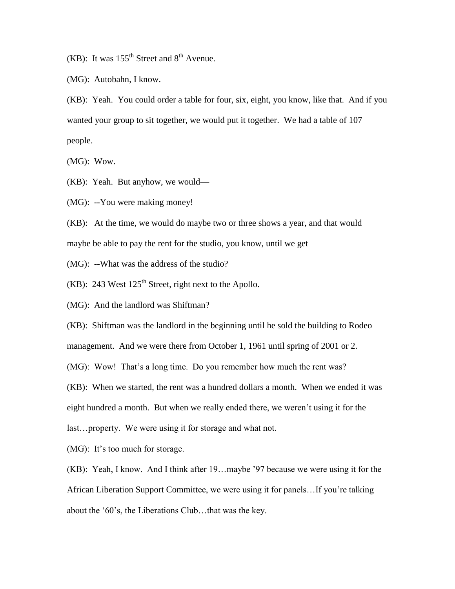(KB): It was  $155^{th}$  Street and  $8^{th}$  Avenue.

(MG): Autobahn, I know.

(KB): Yeah. You could order a table for four, six, eight, you know, like that. And if you wanted your group to sit together, we would put it together. We had a table of 107 people.

(MG): Wow.

(KB): Yeah. But anyhow, we would—

(MG): --You were making money!

(KB): At the time, we would do maybe two or three shows a year, and that would maybe be able to pay the rent for the studio, you know, until we get—

(MG): --What was the address of the studio?

(KB): 243 West  $125<sup>th</sup>$  Street, right next to the Apollo.

(MG): And the landlord was Shiftman?

(KB): Shiftman was the landlord in the beginning until he sold the building to Rodeo

management. And we were there from October 1, 1961 until spring of 2001 or 2.

(MG): Wow! That's a long time. Do you remember how much the rent was?

(KB): When we started, the rent was a hundred dollars a month. When we ended it was

eight hundred a month. But when we really ended there, we weren't using it for the

last…property. We were using it for storage and what not.

(MG): It's too much for storage.

(KB): Yeah, I know. And I think after 19…maybe '97 because we were using it for the African Liberation Support Committee, we were using it for panels…If you're talking about the '60's, the Liberations Club…that was the key.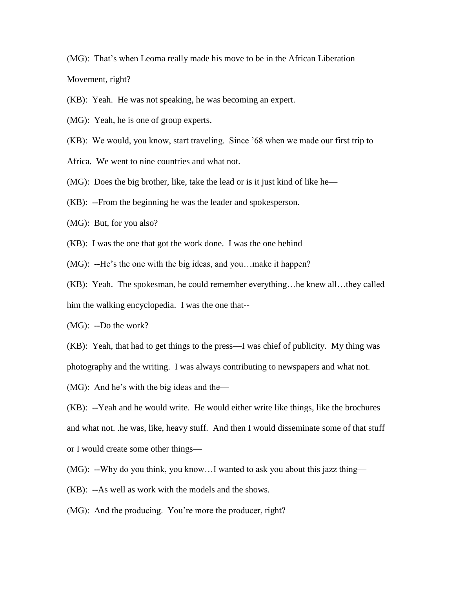(MG): That's when Leoma really made his move to be in the African Liberation Movement, right?

(KB): Yeah. He was not speaking, he was becoming an expert.

(MG): Yeah, he is one of group experts.

(KB): We would, you know, start traveling. Since '68 when we made our first trip to

Africa. We went to nine countries and what not.

(MG): Does the big brother, like, take the lead or is it just kind of like he—

(KB): --From the beginning he was the leader and spokesperson.

(MG): But, for you also?

(KB): I was the one that got the work done. I was the one behind—

(MG): --He's the one with the big ideas, and you…make it happen?

(KB): Yeah. The spokesman, he could remember everything…he knew all…they called him the walking encyclopedia. I was the one that--

(MG): --Do the work?

(KB): Yeah, that had to get things to the press—I was chief of publicity. My thing was photography and the writing. I was always contributing to newspapers and what not. (MG): And he's with the big ideas and the—

(KB): --Yeah and he would write. He would either write like things, like the brochures and what not. .he was, like, heavy stuff. And then I would disseminate some of that stuff or I would create some other things—

(MG): --Why do you think, you know…I wanted to ask you about this jazz thing—

(KB): --As well as work with the models and the shows.

(MG): And the producing. You're more the producer, right?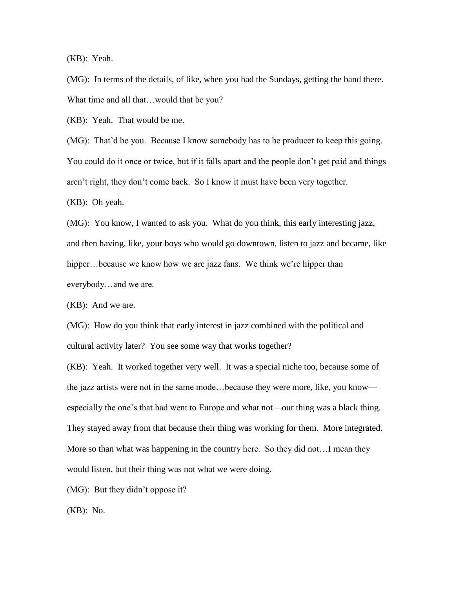(KB): Yeah.

(MG): In terms of the details, of like, when you had the Sundays, getting the band there. What time and all that...would that be you?

(KB): Yeah. That would be me.

(MG): That'd be you. Because I know somebody has to be producer to keep this going. You could do it once or twice, but if it falls apart and the people don't get paid and things aren't right, they don't come back. So I know it must have been very together.

(KB): Oh yeah.

(MG): You know, I wanted to ask you. What do you think, this early interesting jazz, and then having, like, your boys who would go downtown, listen to jazz and became, like hipper...because we know how we are jazz fans. We think we're hipper than everybody…and we are.

(KB): And we are.

(MG): How do you think that early interest in jazz combined with the political and cultural activity later? You see some way that works together?

(KB): Yeah. It worked together very well. It was a special niche too, because some of the jazz artists were not in the same mode…because they were more, like, you know especially the one's that had went to Europe and what not—our thing was a black thing. They stayed away from that because their thing was working for them. More integrated. More so than what was happening in the country here. So they did not…I mean they would listen, but their thing was not what we were doing.

(MG): But they didn't oppose it?

(KB): No.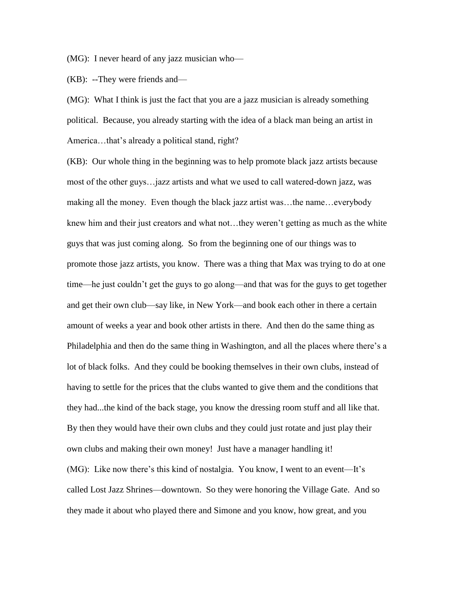(MG): I never heard of any jazz musician who—

(KB): --They were friends and—

(MG): What I think is just the fact that you are a jazz musician is already something political. Because, you already starting with the idea of a black man being an artist in America…that's already a political stand, right?

(KB): Our whole thing in the beginning was to help promote black jazz artists because most of the other guys…jazz artists and what we used to call watered-down jazz, was making all the money. Even though the black jazz artist was…the name…everybody knew him and their just creators and what not…they weren't getting as much as the white guys that was just coming along. So from the beginning one of our things was to promote those jazz artists, you know. There was a thing that Max was trying to do at one time—he just couldn't get the guys to go along—and that was for the guys to get together and get their own club—say like, in New York—and book each other in there a certain amount of weeks a year and book other artists in there. And then do the same thing as Philadelphia and then do the same thing in Washington, and all the places where there's a lot of black folks. And they could be booking themselves in their own clubs, instead of having to settle for the prices that the clubs wanted to give them and the conditions that they had...the kind of the back stage, you know the dressing room stuff and all like that. By then they would have their own clubs and they could just rotate and just play their own clubs and making their own money! Just have a manager handling it! (MG): Like now there's this kind of nostalgia. You know, I went to an event—It's called Lost Jazz Shrines—downtown. So they were honoring the Village Gate. And so they made it about who played there and Simone and you know, how great, and you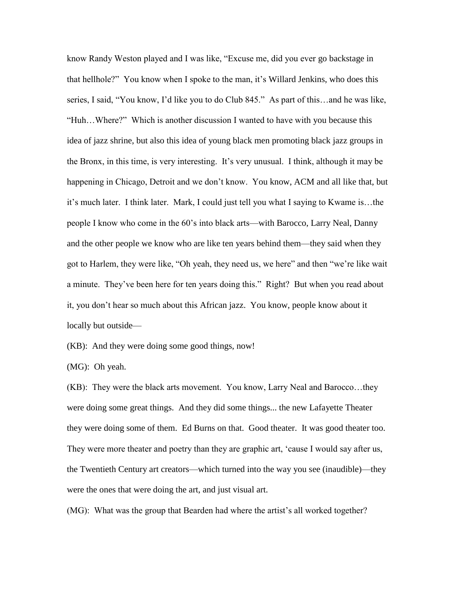know Randy Weston played and I was like, "Excuse me, did you ever go backstage in that hellhole?" You know when I spoke to the man, it's Willard Jenkins, who does this series, I said, "You know, I'd like you to do Club 845." As part of this…and he was like, "Huh…Where?" Which is another discussion I wanted to have with you because this idea of jazz shrine, but also this idea of young black men promoting black jazz groups in the Bronx, in this time, is very interesting. It's very unusual. I think, although it may be happening in Chicago, Detroit and we don't know. You know, ACM and all like that, but it's much later. I think later. Mark, I could just tell you what I saying to Kwame is…the people I know who come in the 60's into black arts—with Barocco, Larry Neal, Danny and the other people we know who are like ten years behind them—they said when they got to Harlem, they were like, "Oh yeah, they need us, we here" and then "we're like wait a minute. They've been here for ten years doing this." Right? But when you read about it, you don't hear so much about this African jazz. You know, people know about it locally but outside—

(KB): And they were doing some good things, now!

(MG): Oh yeah.

(KB): They were the black arts movement. You know, Larry Neal and Barocco…they were doing some great things. And they did some things... the new Lafayette Theater they were doing some of them. Ed Burns on that. Good theater. It was good theater too. They were more theater and poetry than they are graphic art, 'cause I would say after us, the Twentieth Century art creators—which turned into the way you see (inaudible)—they were the ones that were doing the art, and just visual art.

(MG): What was the group that Bearden had where the artist's all worked together?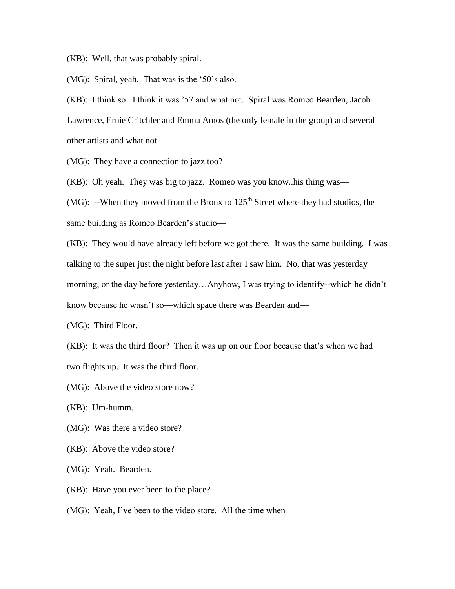(KB): Well, that was probably spiral.

(MG): Spiral, yeah. That was is the '50's also.

(KB): I think so. I think it was '57 and what not. Spiral was Romeo Bearden, Jacob Lawrence, Ernie Critchler and Emma Amos (the only female in the group) and several other artists and what not.

(MG): They have a connection to jazz too?

(KB): Oh yeah. They was big to jazz. Romeo was you know..his thing was—

(MG): --When they moved from the Bronx to  $125<sup>th</sup>$  Street where they had studios, the same building as Romeo Bearden's studio—

(KB): They would have already left before we got there. It was the same building. I was talking to the super just the night before last after I saw him. No, that was yesterday morning, or the day before yesterday…Anyhow, I was trying to identify--which he didn't know because he wasn't so—which space there was Bearden and—

(MG): Third Floor.

(KB): It was the third floor? Then it was up on our floor because that's when we had two flights up. It was the third floor.

(MG): Above the video store now?

(KB): Um-humm.

(MG): Was there a video store?

(KB): Above the video store?

(MG): Yeah. Bearden.

(KB): Have you ever been to the place?

(MG): Yeah, I've been to the video store. All the time when—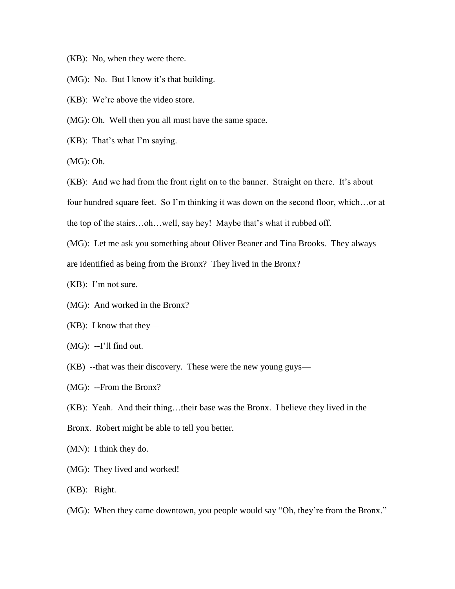(KB): No, when they were there.

(MG): No. But I know it's that building.

(KB): We're above the video store.

(MG): Oh. Well then you all must have the same space.

(KB): That's what I'm saying.

(MG): Oh.

(KB): And we had from the front right on to the banner. Straight on there. It's about four hundred square feet. So I'm thinking it was down on the second floor, which...or at the top of the stairs…oh…well, say hey! Maybe that's what it rubbed off.

(MG): Let me ask you something about Oliver Beaner and Tina Brooks. They always

are identified as being from the Bronx? They lived in the Bronx?

(KB): I'm not sure.

(MG): And worked in the Bronx?

(KB): I know that they—

 $(MG)$ : --I'll find out.

(KB) --that was their discovery. These were the new young guys—

(MG): --From the Bronx?

(KB): Yeah. And their thing…their base was the Bronx. I believe they lived in the

Bronx. Robert might be able to tell you better.

(MN): I think they do.

(MG): They lived and worked!

(KB): Right.

(MG): When they came downtown, you people would say "Oh, they're from the Bronx."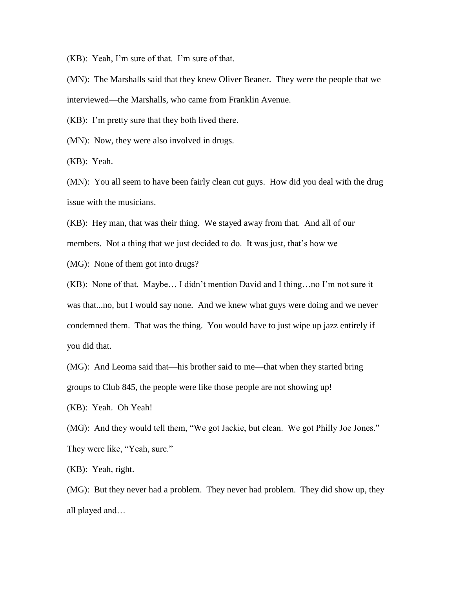(KB): Yeah, I'm sure of that. I'm sure of that.

(MN): The Marshalls said that they knew Oliver Beaner. They were the people that we interviewed—the Marshalls, who came from Franklin Avenue.

(KB): I'm pretty sure that they both lived there.

(MN): Now, they were also involved in drugs.

(KB): Yeah.

(MN): You all seem to have been fairly clean cut guys. How did you deal with the drug issue with the musicians.

(KB): Hey man, that was their thing. We stayed away from that. And all of our members. Not a thing that we just decided to do. It was just, that's how we— (MG): None of them got into drugs?

(KB): None of that. Maybe… I didn't mention David and I thing…no I'm not sure it was that...no, but I would say none. And we knew what guys were doing and we never condemned them. That was the thing. You would have to just wipe up jazz entirely if you did that.

(MG): And Leoma said that—his brother said to me—that when they started bring groups to Club 845, the people were like those people are not showing up!

(KB): Yeah. Oh Yeah!

(MG): And they would tell them, "We got Jackie, but clean. We got Philly Joe Jones." They were like, "Yeah, sure."

(KB): Yeah, right.

(MG): But they never had a problem. They never had problem. They did show up, they all played and…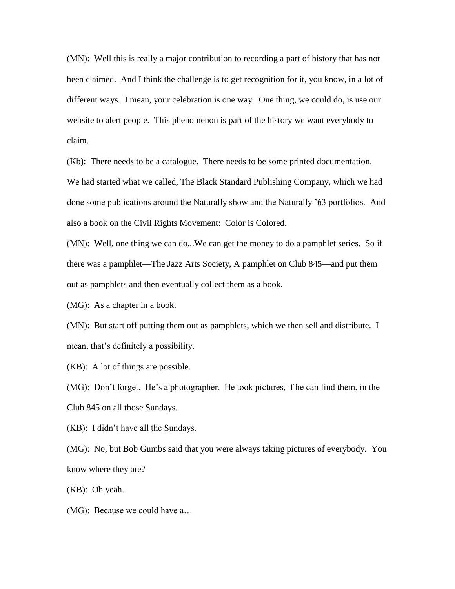(MN): Well this is really a major contribution to recording a part of history that has not been claimed. And I think the challenge is to get recognition for it, you know, in a lot of different ways. I mean, your celebration is one way. One thing, we could do, is use our website to alert people. This phenomenon is part of the history we want everybody to claim.

(Kb): There needs to be a catalogue. There needs to be some printed documentation. We had started what we called, The Black Standard Publishing Company, which we had done some publications around the Naturally show and the Naturally '63 portfolios. And also a book on the Civil Rights Movement: Color is Colored.

(MN): Well, one thing we can do...We can get the money to do a pamphlet series. So if there was a pamphlet—The Jazz Arts Society, A pamphlet on Club 845—and put them out as pamphlets and then eventually collect them as a book.

(MG): As a chapter in a book.

(MN): But start off putting them out as pamphlets, which we then sell and distribute. I mean, that's definitely a possibility.

(KB): A lot of things are possible.

(MG): Don't forget. He's a photographer. He took pictures, if he can find them, in the Club 845 on all those Sundays.

(KB): I didn't have all the Sundays.

(MG): No, but Bob Gumbs said that you were always taking pictures of everybody. You know where they are?

(KB): Oh yeah.

(MG): Because we could have a…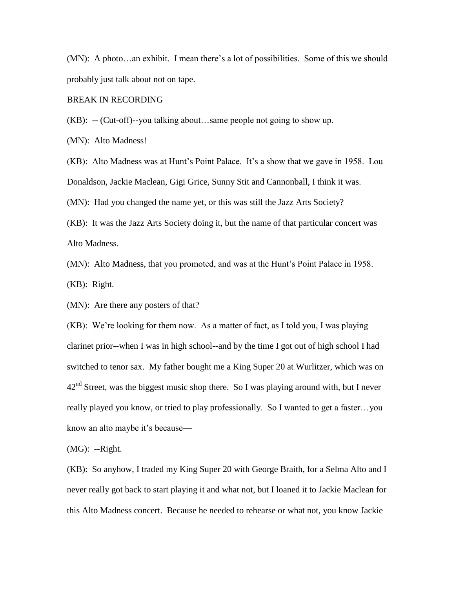(MN): A photo…an exhibit. I mean there's a lot of possibilities. Some of this we should probably just talk about not on tape.

## BREAK IN RECORDING

(KB): -- (Cut-off)--you talking about…same people not going to show up.

(MN): Alto Madness!

(KB): Alto Madness was at Hunt's Point Palace. It's a show that we gave in 1958. Lou Donaldson, Jackie Maclean, Gigi Grice, Sunny Stit and Cannonball, I think it was.

(MN): Had you changed the name yet, or this was still the Jazz Arts Society?

(KB): It was the Jazz Arts Society doing it, but the name of that particular concert was Alto Madness.

(MN): Alto Madness, that you promoted, and was at the Hunt's Point Palace in 1958.

(KB): Right.

(MN): Are there any posters of that?

(KB): We're looking for them now. As a matter of fact, as I told you, I was playing clarinet prior--when I was in high school--and by the time I got out of high school I had switched to tenor sax. My father bought me a King Super 20 at Wurlitzer, which was on  $42<sup>nd</sup>$  Street, was the biggest music shop there. So I was playing around with, but I never really played you know, or tried to play professionally. So I wanted to get a faster…you know an alto maybe it's because—

(MG): --Right.

(KB): So anyhow, I traded my King Super 20 with George Braith, for a Selma Alto and I never really got back to start playing it and what not, but I loaned it to Jackie Maclean for this Alto Madness concert. Because he needed to rehearse or what not, you know Jackie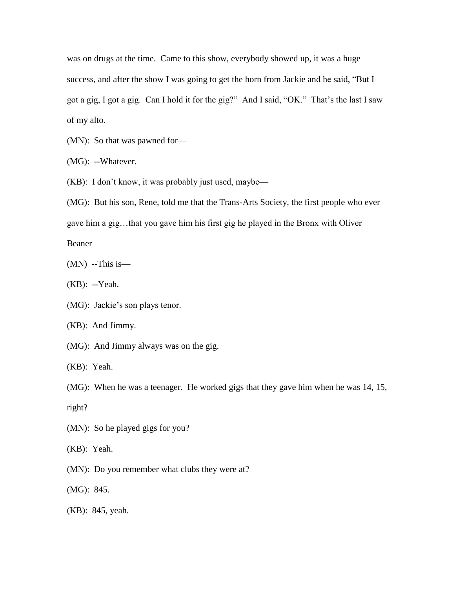was on drugs at the time. Came to this show, everybody showed up, it was a huge success, and after the show I was going to get the horn from Jackie and he said, "But I got a gig, I got a gig. Can I hold it for the gig?" And I said, "OK." That's the last I saw of my alto.

(MN): So that was pawned for—

(MG): --Whatever.

(KB): I don't know, it was probably just used, maybe—

(MG): But his son, Rene, told me that the Trans-Arts Society, the first people who ever

gave him a gig…that you gave him his first gig he played in the Bronx with Oliver

Beaner—

(MN) --This is—

(KB): --Yeah.

(MG): Jackie's son plays tenor.

(KB): And Jimmy.

(MG): And Jimmy always was on the gig.

(KB): Yeah.

(MG): When he was a teenager. He worked gigs that they gave him when he was 14, 15,

right?

(MN): So he played gigs for you?

(KB): Yeah.

(MN): Do you remember what clubs they were at?

(MG): 845.

(KB): 845, yeah.